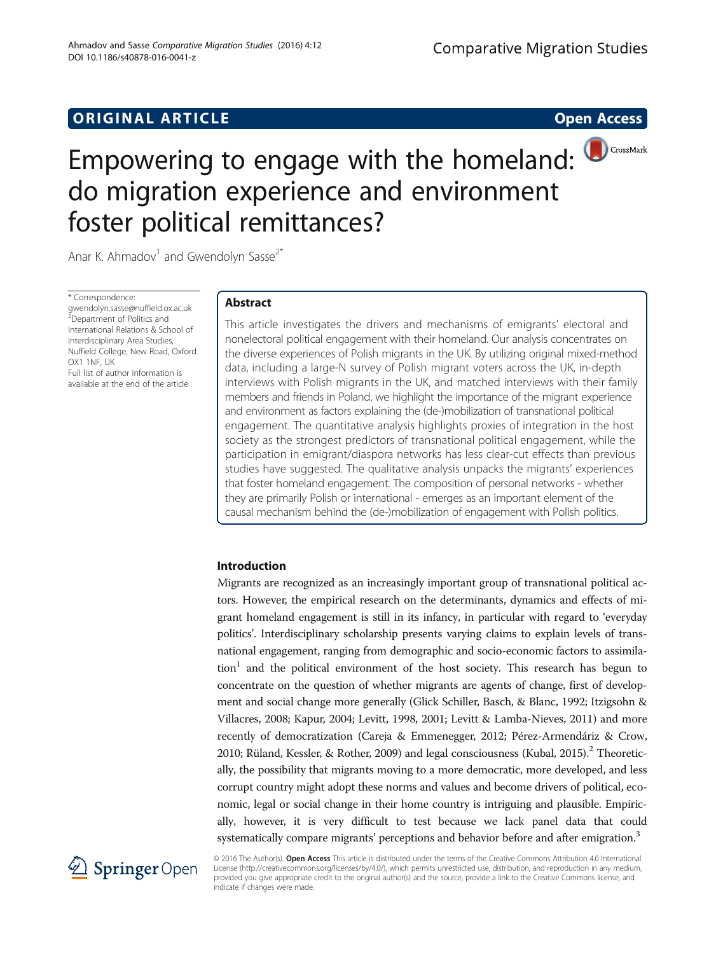# **ORIGINAL ARTICLE CONSUMING A LIGACION** CONSUMING A LIGACION CONSUMING A LIGACION CONSUMING A LIGACION CONSUMING A LIGACION CONSUMING A LIGACION CONSUMING A LIGACION CONSUMING A LIGACION CONSUMING A LIGACION CONSUMING A



# Empowering to engage with the homeland: do migration experience and environment foster political remittances?

Anar K. Ahmadov<sup>1</sup> and Gwendolyn Sasse<sup>2\*</sup>

\* Correspondence: [gwendolyn.sasse@nuffield.ox.ac.uk](mailto:gwendolyn.sasse@nuffield.ox.ac.uk) <sup>2</sup>Department of Politics and International Relations & School of Interdisciplinary Area Studies, Nuffield College, New Road, Oxford OX1 1NF, UK Full list of author information is available at the end of the article

# Abstract

This article investigates the drivers and mechanisms of emigrants' electoral and nonelectoral political engagement with their homeland. Our analysis concentrates on the diverse experiences of Polish migrants in the UK. By utilizing original mixed-method data, including a large-N survey of Polish migrant voters across the UK, in-depth interviews with Polish migrants in the UK, and matched interviews with their family members and friends in Poland, we highlight the importance of the migrant experience and environment as factors explaining the (de-)mobilization of transnational political engagement. The quantitative analysis highlights proxies of integration in the host society as the strongest predictors of transnational political engagement, while the participation in emigrant/diaspora networks has less clear-cut effects than previous studies have suggested. The qualitative analysis unpacks the migrants' experiences that foster homeland engagement. The composition of personal networks - whether they are primarily Polish or international - emerges as an important element of the causal mechanism behind the (de-)mobilization of engagement with Polish politics.

# Introduction

Migrants are recognized as an increasingly important group of transnational political actors. However, the empirical research on the determinants, dynamics and effects of migrant homeland engagement is still in its infancy, in particular with regard to 'everyday politics'. Interdisciplinary scholarship presents varying claims to explain levels of transnational engagement, ranging from demographic and socio-economic factors to assimila- $\chi$  tion<sup>1</sup> and the political environment of the host society. This research has begun to concentrate on the question of whether migrants are agents of change, first of development and social change more generally (Glick Schiller, Basch, & Blanc, [1992;](#page-23-0) Itzigsohn & Villacres, [2008;](#page-23-0) Kapur, [2004](#page-23-0); Levitt, [1998, 2001](#page-24-0); Levitt & Lamba-Nieves, [2011\)](#page-24-0) and more recently of democratization (Careja & Emmenegger, [2012](#page-23-0); Pérez-Armendáriz & Crow, [2010](#page-24-0); Rüland, Kessler, & Rother, [2009](#page-24-0)) and legal consciousness (Kubal, [2015\)](#page-23-0).<sup>2</sup> Theoretically, the possibility that migrants moving to a more democratic, more developed, and less corrupt country might adopt these norms and values and become drivers of political, economic, legal or social change in their home country is intriguing and plausible. Empirically, however, it is very difficult to test because we lack panel data that could systematically compare migrants' perceptions and behavior before and after emigration.<sup>3</sup>



© 2016 The Author(s). Open Access This article is distributed under the terms of the Creative Commons Attribution 4.0 International License [\(http://creativecommons.org/licenses/by/4.0/](http://creativecommons.org/licenses/by/4.0/)), which permits unrestricted use, distribution, and reproduction in any medium, provided you give appropriate credit to the original author(s) and the source, provide a link to the Creative Commons license, and indicate if changes were made.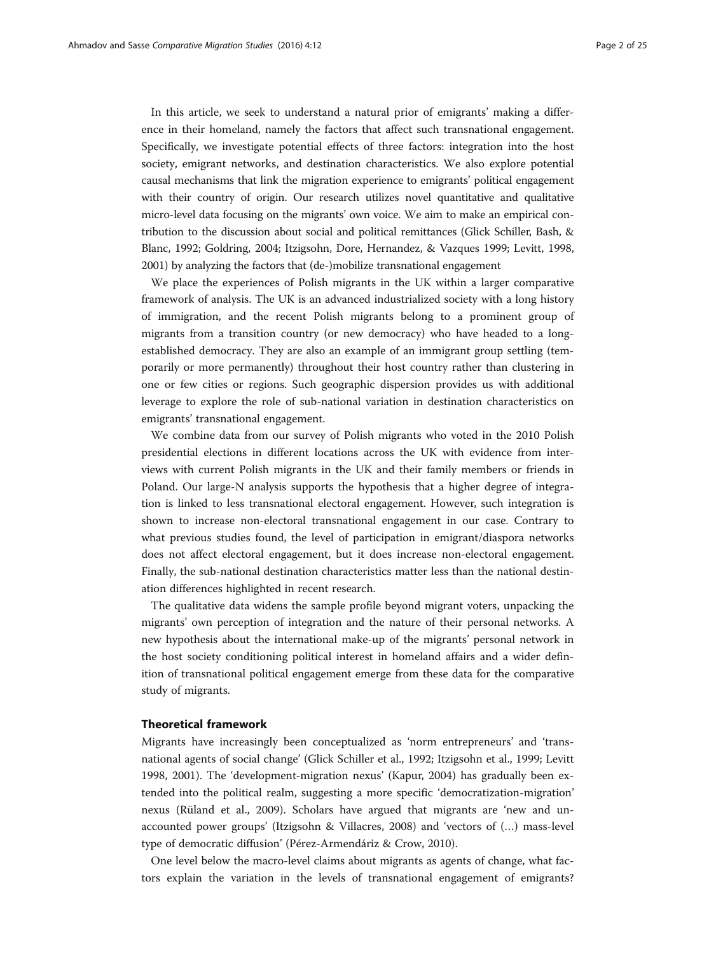In this article, we seek to understand a natural prior of emigrants' making a difference in their homeland, namely the factors that affect such transnational engagement. Specifically, we investigate potential effects of three factors: integration into the host society, emigrant networks, and destination characteristics. We also explore potential causal mechanisms that link the migration experience to emigrants' political engagement with their country of origin. Our research utilizes novel quantitative and qualitative micro-level data focusing on the migrants' own voice. We aim to make an empirical contribution to the discussion about social and political remittances (Glick Schiller, Bash, & Blanc, [1992;](#page-23-0) Goldring, [2004;](#page-23-0) Itzigsohn, Dore, Hernandez, & Vazques [1999;](#page-23-0) Levitt, [1998](#page-24-0), [2001\)](#page-24-0) by analyzing the factors that (de-)mobilize transnational engagement

We place the experiences of Polish migrants in the UK within a larger comparative framework of analysis. The UK is an advanced industrialized society with a long history of immigration, and the recent Polish migrants belong to a prominent group of migrants from a transition country (or new democracy) who have headed to a longestablished democracy. They are also an example of an immigrant group settling (temporarily or more permanently) throughout their host country rather than clustering in one or few cities or regions. Such geographic dispersion provides us with additional leverage to explore the role of sub-national variation in destination characteristics on emigrants' transnational engagement.

We combine data from our survey of Polish migrants who voted in the 2010 Polish presidential elections in different locations across the UK with evidence from interviews with current Polish migrants in the UK and their family members or friends in Poland. Our large-N analysis supports the hypothesis that a higher degree of integration is linked to less transnational electoral engagement. However, such integration is shown to increase non-electoral transnational engagement in our case. Contrary to what previous studies found, the level of participation in emigrant/diaspora networks does not affect electoral engagement, but it does increase non-electoral engagement. Finally, the sub-national destination characteristics matter less than the national destination differences highlighted in recent research.

The qualitative data widens the sample profile beyond migrant voters, unpacking the migrants' own perception of integration and the nature of their personal networks. A new hypothesis about the international make-up of the migrants' personal network in the host society conditioning political interest in homeland affairs and a wider definition of transnational political engagement emerge from these data for the comparative study of migrants.

#### Theoretical framework

Migrants have increasingly been conceptualized as 'norm entrepreneurs' and 'transnational agents of social change' (Glick Schiller et al., [1992;](#page-23-0) Itzigsohn et al., [1999](#page-23-0); Levitt [1998](#page-24-0), [2001\)](#page-24-0). The 'development-migration nexus' (Kapur, [2004](#page-23-0)) has gradually been extended into the political realm, suggesting a more specific 'democratization-migration' nexus (Rüland et al., [2009\)](#page-24-0). Scholars have argued that migrants are 'new and unaccounted power groups' (Itzigsohn & Villacres, [2008](#page-23-0)) and 'vectors of (…) mass-level type of democratic diffusion' (Pérez-Armendáriz & Crow, [2010\)](#page-24-0).

One level below the macro-level claims about migrants as agents of change, what factors explain the variation in the levels of transnational engagement of emigrants?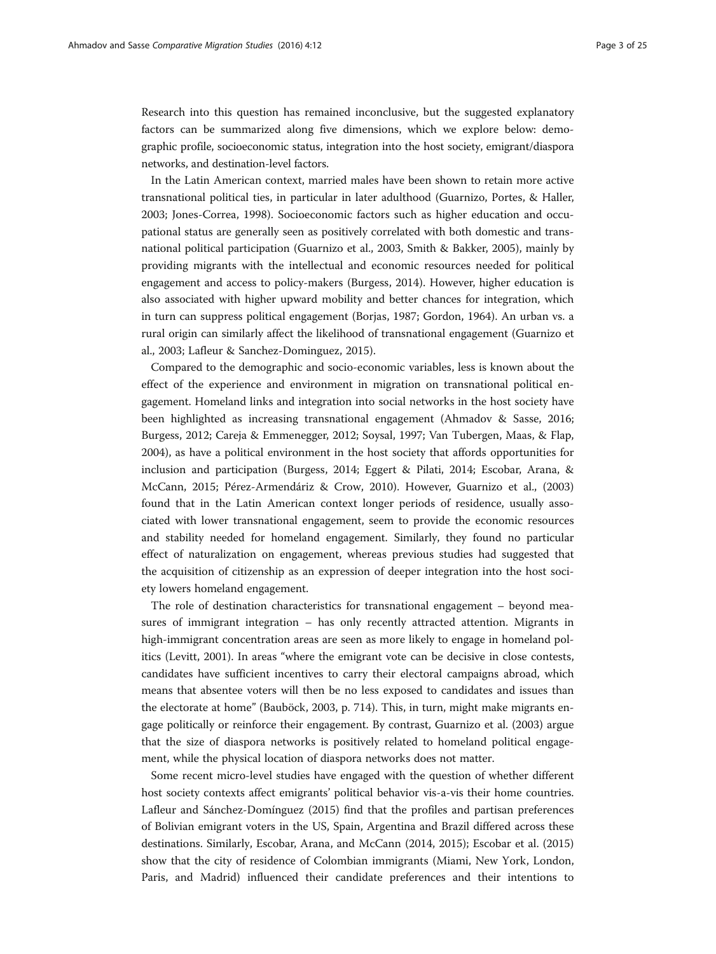Research into this question has remained inconclusive, but the suggested explanatory factors can be summarized along five dimensions, which we explore below: demographic profile, socioeconomic status, integration into the host society, emigrant/diaspora networks, and destination-level factors.

In the Latin American context, married males have been shown to retain more active transnational political ties, in particular in later adulthood (Guarnizo, Portes, & Haller, [2003](#page-23-0); Jones-Correa, [1998](#page-23-0)). Socioeconomic factors such as higher education and occupational status are generally seen as positively correlated with both domestic and transnational political participation (Guarnizo et al., [2003,](#page-23-0) Smith & Bakker, [2005\)](#page-24-0), mainly by providing migrants with the intellectual and economic resources needed for political engagement and access to policy-makers (Burgess, [2014\)](#page-23-0). However, higher education is also associated with higher upward mobility and better chances for integration, which in turn can suppress political engagement (Borjas, [1987;](#page-23-0) Gordon, [1964\)](#page-23-0). An urban vs. a rural origin can similarly affect the likelihood of transnational engagement (Guarnizo et al., [2003](#page-23-0); Lafleur & Sanchez-Dominguez, [2015](#page-23-0)).

Compared to the demographic and socio-economic variables, less is known about the effect of the experience and environment in migration on transnational political engagement. Homeland links and integration into social networks in the host society have been highlighted as increasing transnational engagement (Ahmadov & Sasse, [2016](#page-23-0); Burgess, [2012](#page-23-0); Careja & Emmenegger, [2012](#page-23-0); Soysal, [1997;](#page-24-0) Van Tubergen, Maas, & Flap, [2004](#page-24-0)), as have a political environment in the host society that affords opportunities for inclusion and participation (Burgess, [2014;](#page-23-0) Eggert & Pilati, [2014;](#page-23-0) Escobar, Arana, & McCann, [2015;](#page-23-0) Pérez-Armendáriz & Crow, [2010](#page-24-0)). However, Guarnizo et al., ([2003](#page-23-0)) found that in the Latin American context longer periods of residence, usually associated with lower transnational engagement, seem to provide the economic resources and stability needed for homeland engagement. Similarly, they found no particular effect of naturalization on engagement, whereas previous studies had suggested that the acquisition of citizenship as an expression of deeper integration into the host society lowers homeland engagement.

The role of destination characteristics for transnational engagement – beyond measures of immigrant integration – has only recently attracted attention. Migrants in high-immigrant concentration areas are seen as more likely to engage in homeland politics (Levitt, [2001](#page-24-0)). In areas "where the emigrant vote can be decisive in close contests, candidates have sufficient incentives to carry their electoral campaigns abroad, which means that absentee voters will then be no less exposed to candidates and issues than the electorate at home" (Bauböck, [2003](#page-23-0), p. 714). This, in turn, might make migrants engage politically or reinforce their engagement. By contrast, Guarnizo et al. [\(2003\)](#page-23-0) argue that the size of diaspora networks is positively related to homeland political engagement, while the physical location of diaspora networks does not matter.

Some recent micro-level studies have engaged with the question of whether different host society contexts affect emigrants' political behavior vis-a-vis their home countries. Lafleur and Sánchez-Domínguez ([2015](#page-23-0)) find that the profiles and partisan preferences of Bolivian emigrant voters in the US, Spain, Argentina and Brazil differed across these destinations. Similarly, Escobar, Arana, and McCann [\(2014, 2015\)](#page-23-0); Escobar et al. ([2015](#page-23-0)) show that the city of residence of Colombian immigrants (Miami, New York, London, Paris, and Madrid) influenced their candidate preferences and their intentions to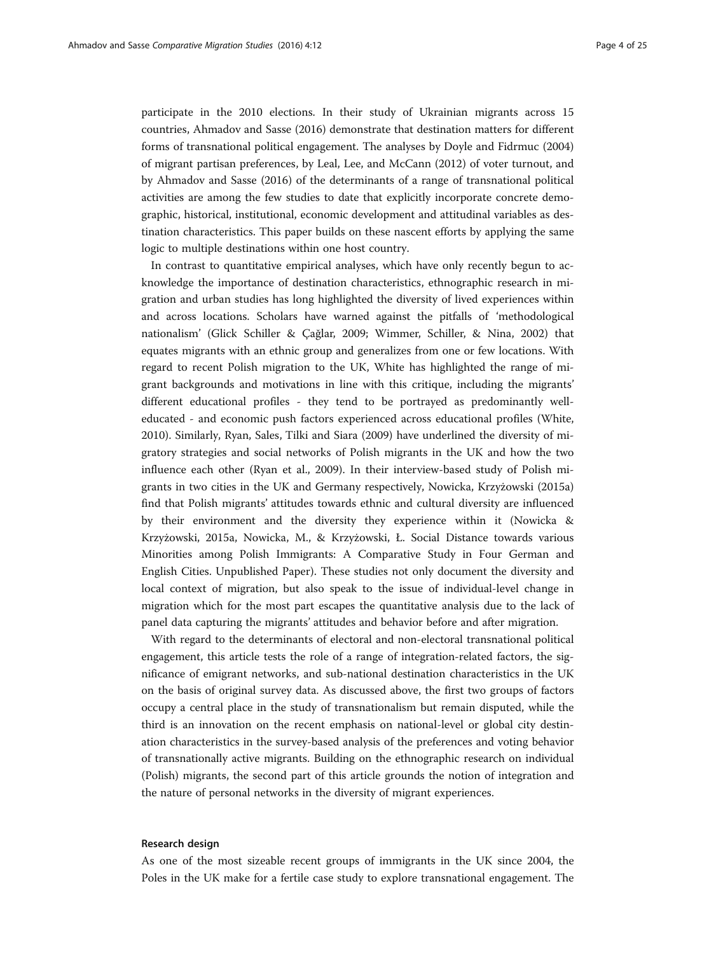participate in the 2010 elections. In their study of Ukrainian migrants across 15 countries, Ahmadov and Sasse ([2016](#page-23-0)) demonstrate that destination matters for different forms of transnational political engagement. The analyses by Doyle and Fidrmuc ([2004](#page-23-0)) of migrant partisan preferences, by Leal, Lee, and McCann [\(2012\)](#page-24-0) of voter turnout, and by Ahmadov and Sasse [\(2016\)](#page-23-0) of the determinants of a range of transnational political activities are among the few studies to date that explicitly incorporate concrete demographic, historical, institutional, economic development and attitudinal variables as destination characteristics. This paper builds on these nascent efforts by applying the same logic to multiple destinations within one host country.

In contrast to quantitative empirical analyses, which have only recently begun to acknowledge the importance of destination characteristics, ethnographic research in migration and urban studies has long highlighted the diversity of lived experiences within and across locations. Scholars have warned against the pitfalls of 'methodological nationalism' (Glick Schiller & Çağlar, [2009](#page-23-0); Wimmer, Schiller, & Nina, [2002\)](#page-24-0) that equates migrants with an ethnic group and generalizes from one or few locations. With regard to recent Polish migration to the UK, White has highlighted the range of migrant backgrounds and motivations in line with this critique, including the migrants' different educational profiles - they tend to be portrayed as predominantly welleducated - and economic push factors experienced across educational profiles (White, [2010](#page-24-0)). Similarly, Ryan, Sales, Tilki and Siara [\(2009\)](#page-24-0) have underlined the diversity of migratory strategies and social networks of Polish migrants in the UK and how the two influence each other (Ryan et al., [2009\)](#page-24-0). In their interview-based study of Polish migrants in two cities in the UK and Germany respectively, Nowicka, Krzyżowski [\(2015a](#page-24-0)) find that Polish migrants' attitudes towards ethnic and cultural diversity are influenced by their environment and the diversity they experience within it (Nowicka & Krzyżowski, [2015a](#page-24-0), Nowicka, M., & Krzyżowski, Ł. Social Distance towards various Minorities among Polish Immigrants: A Comparative Study in Four German and English Cities. Unpublished Paper). These studies not only document the diversity and local context of migration, but also speak to the issue of individual-level change in migration which for the most part escapes the quantitative analysis due to the lack of panel data capturing the migrants' attitudes and behavior before and after migration.

With regard to the determinants of electoral and non-electoral transnational political engagement, this article tests the role of a range of integration-related factors, the significance of emigrant networks, and sub-national destination characteristics in the UK on the basis of original survey data. As discussed above, the first two groups of factors occupy a central place in the study of transnationalism but remain disputed, while the third is an innovation on the recent emphasis on national-level or global city destination characteristics in the survey-based analysis of the preferences and voting behavior of transnationally active migrants. Building on the ethnographic research on individual (Polish) migrants, the second part of this article grounds the notion of integration and the nature of personal networks in the diversity of migrant experiences.

#### Research design

As one of the most sizeable recent groups of immigrants in the UK since 2004, the Poles in the UK make for a fertile case study to explore transnational engagement. The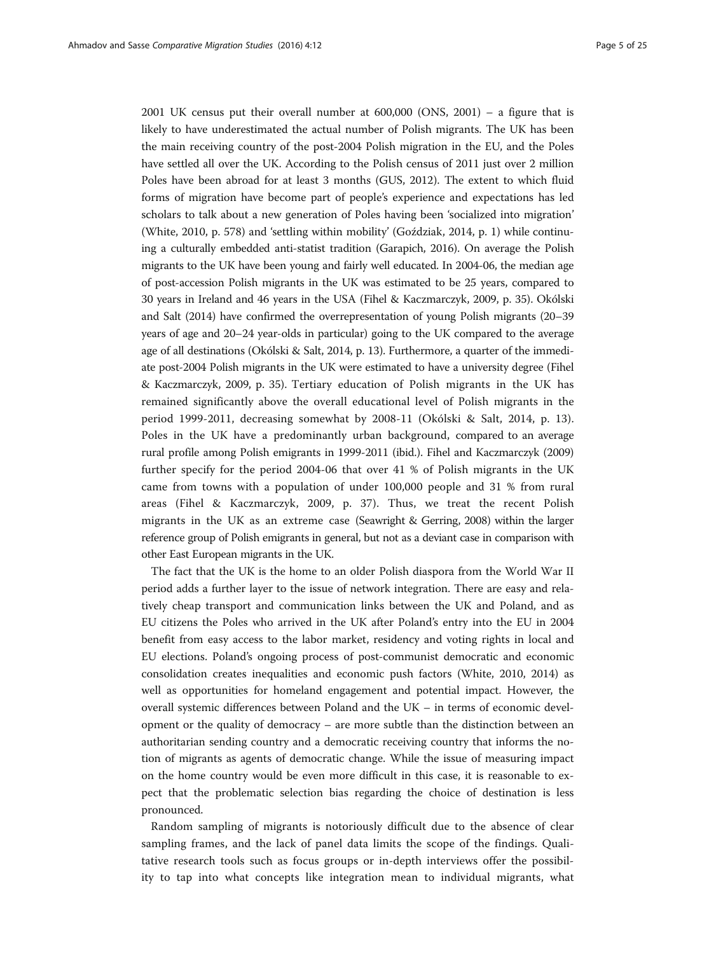2001 UK census put their overall number at 600,000 (ONS, [2001\)](#page-24-0) – a figure that is likely to have underestimated the actual number of Polish migrants. The UK has been the main receiving country of the post-2004 Polish migration in the EU, and the Poles have settled all over the UK. According to the Polish census of 2011 just over 2 million Poles have been abroad for at least 3 months (GUS, [2012\)](#page-23-0). The extent to which fluid forms of migration have become part of people's experience and expectations has led scholars to talk about a new generation of Poles having been 'socialized into migration' (White, [2010,](#page-24-0) p. 578) and 'settling within mobility' (Goździak, [2014,](#page-23-0) p. 1) while continuing a culturally embedded anti-statist tradition (Garapich, [2016](#page-23-0)). On average the Polish migrants to the UK have been young and fairly well educated. In 2004-06, the median age of post-accession Polish migrants in the UK was estimated to be 25 years, compared to 30 years in Ireland and 46 years in the USA (Fihel & Kaczmarczyk, [2009](#page-23-0), p. 35). Okólski and Salt [\(2014](#page-24-0)) have confirmed the overrepresentation of young Polish migrants (20–39 years of age and 20–24 year-olds in particular) going to the UK compared to the average age of all destinations (Okólski & Salt, [2014](#page-24-0), p. 13). Furthermore, a quarter of the immediate post-2004 Polish migrants in the UK were estimated to have a university degree (Fihel & Kaczmarczyk, [2009,](#page-23-0) p. 35). Tertiary education of Polish migrants in the UK has remained significantly above the overall educational level of Polish migrants in the period 1999-2011, decreasing somewhat by 2008-11 (Okólski & Salt, [2014,](#page-24-0) p. 13). Poles in the UK have a predominantly urban background, compared to an average rural profile among Polish emigrants in 1999-2011 (ibid.). Fihel and Kaczmarczyk [\(2009](#page-23-0)) further specify for the period 2004-06 that over 41 % of Polish migrants in the UK came from towns with a population of under 100,000 people and 31 % from rural areas (Fihel & Kaczmarczyk, [2009,](#page-23-0) p. 37). Thus, we treat the recent Polish migrants in the UK as an extreme case (Seawright & Gerring, [2008](#page-24-0)) within the larger reference group of Polish emigrants in general, but not as a deviant case in comparison with other East European migrants in the UK.

The fact that the UK is the home to an older Polish diaspora from the World War II period adds a further layer to the issue of network integration. There are easy and relatively cheap transport and communication links between the UK and Poland, and as EU citizens the Poles who arrived in the UK after Poland's entry into the EU in 2004 benefit from easy access to the labor market, residency and voting rights in local and EU elections. Poland's ongoing process of post-communist democratic and economic consolidation creates inequalities and economic push factors (White, [2010](#page-24-0), [2014\)](#page-24-0) as well as opportunities for homeland engagement and potential impact. However, the overall systemic differences between Poland and the UK – in terms of economic development or the quality of democracy – are more subtle than the distinction between an authoritarian sending country and a democratic receiving country that informs the notion of migrants as agents of democratic change. While the issue of measuring impact on the home country would be even more difficult in this case, it is reasonable to expect that the problematic selection bias regarding the choice of destination is less pronounced.

Random sampling of migrants is notoriously difficult due to the absence of clear sampling frames, and the lack of panel data limits the scope of the findings. Qualitative research tools such as focus groups or in-depth interviews offer the possibility to tap into what concepts like integration mean to individual migrants, what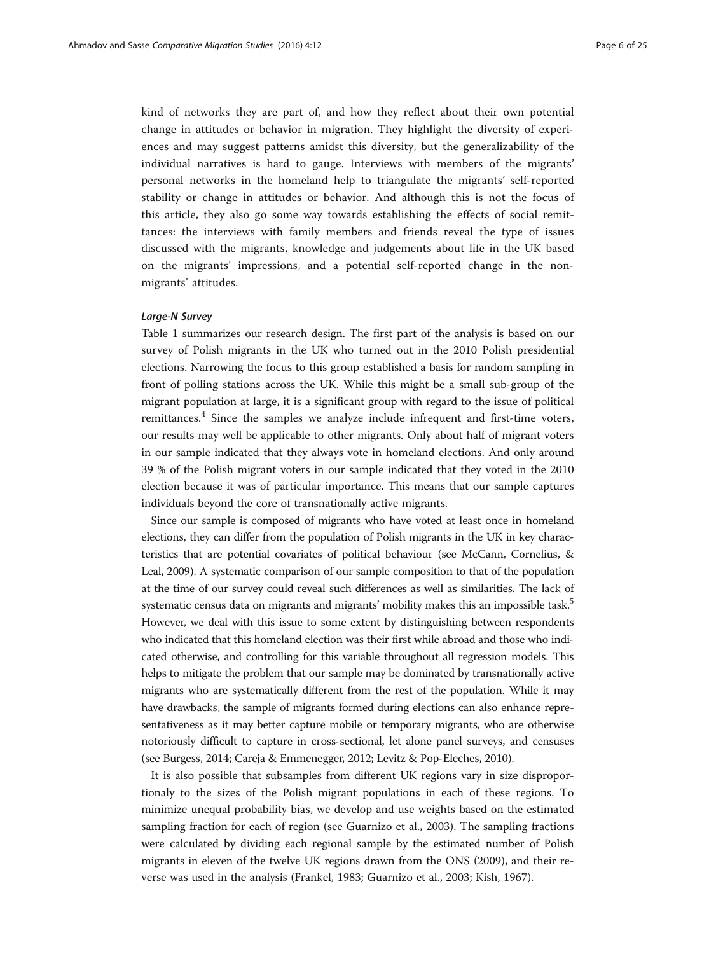kind of networks they are part of, and how they reflect about their own potential change in attitudes or behavior in migration. They highlight the diversity of experiences and may suggest patterns amidst this diversity, but the generalizability of the individual narratives is hard to gauge. Interviews with members of the migrants' personal networks in the homeland help to triangulate the migrants' self-reported stability or change in attitudes or behavior. And although this is not the focus of this article, they also go some way towards establishing the effects of social remittances: the interviews with family members and friends reveal the type of issues discussed with the migrants, knowledge and judgements about life in the UK based on the migrants' impressions, and a potential self-reported change in the nonmigrants' attitudes.

#### Large-N Survey

Table [1](#page-6-0) summarizes our research design. The first part of the analysis is based on our survey of Polish migrants in the UK who turned out in the 2010 Polish presidential elections. Narrowing the focus to this group established a basis for random sampling in front of polling stations across the UK. While this might be a small sub-group of the migrant population at large, it is a significant group with regard to the issue of political remittances.<sup>4</sup> Since the samples we analyze include infrequent and first-time voters, our results may well be applicable to other migrants. Only about half of migrant voters in our sample indicated that they always vote in homeland elections. And only around 39 % of the Polish migrant voters in our sample indicated that they voted in the 2010 election because it was of particular importance. This means that our sample captures individuals beyond the core of transnationally active migrants.

Since our sample is composed of migrants who have voted at least once in homeland elections, they can differ from the population of Polish migrants in the UK in key characteristics that are potential covariates of political behaviour (see McCann, Cornelius, & Leal, [2009](#page-24-0)). A systematic comparison of our sample composition to that of the population at the time of our survey could reveal such differences as well as similarities. The lack of systematic census data on migrants and migrants' mobility makes this an impossible task.<sup>5</sup> However, we deal with this issue to some extent by distinguishing between respondents who indicated that this homeland election was their first while abroad and those who indicated otherwise, and controlling for this variable throughout all regression models. This helps to mitigate the problem that our sample may be dominated by transnationally active migrants who are systematically different from the rest of the population. While it may have drawbacks, the sample of migrants formed during elections can also enhance representativeness as it may better capture mobile or temporary migrants, who are otherwise notoriously difficult to capture in cross-sectional, let alone panel surveys, and censuses (see Burgess, [2014;](#page-23-0) Careja & Emmenegger, [2012;](#page-23-0) Levitz & Pop-Eleches, [2010\)](#page-24-0).

It is also possible that subsamples from different UK regions vary in size disproportionaly to the sizes of the Polish migrant populations in each of these regions. To minimize unequal probability bias, we develop and use weights based on the estimated sampling fraction for each of region (see Guarnizo et al., [2003](#page-23-0)). The sampling fractions were calculated by dividing each regional sample by the estimated number of Polish migrants in eleven of the twelve UK regions drawn from the ONS [\(2009\)](#page-24-0), and their reverse was used in the analysis (Frankel, [1983](#page-23-0); Guarnizo et al., [2003;](#page-23-0) Kish, [1967\)](#page-23-0).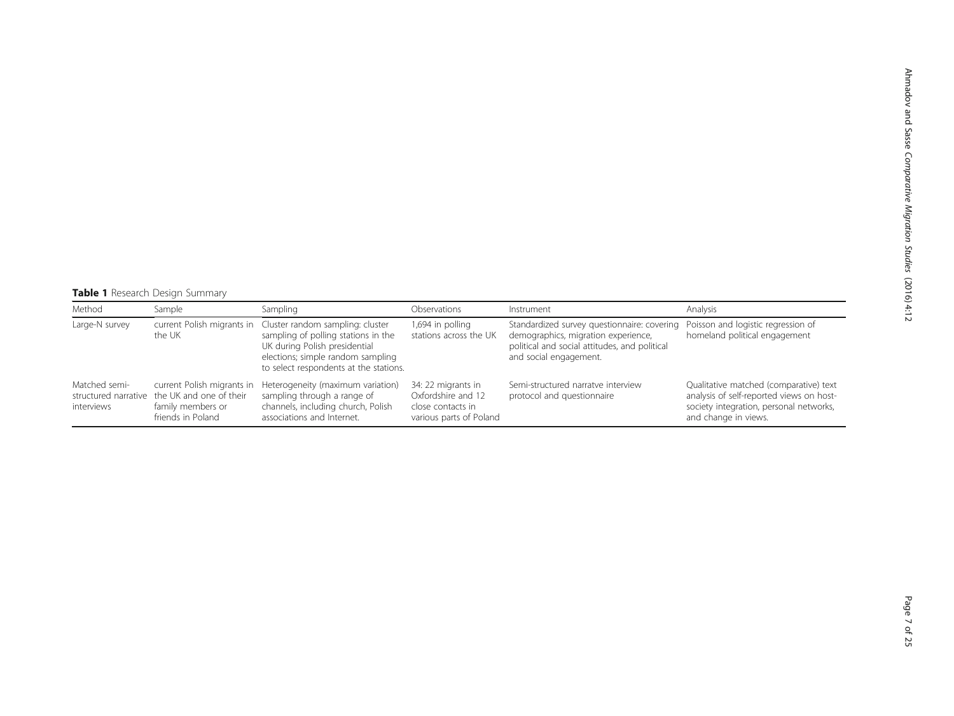# <span id="page-6-0"></span>Table 1 Research Design Summary

| Method                      | Sample                                                                                                               | Sampling                                                                                                                                                                                                           | Observations                                                                             | Instrument                                                                                                                                                    | Analysis                                                                                                                                              |
|-----------------------------|----------------------------------------------------------------------------------------------------------------------|--------------------------------------------------------------------------------------------------------------------------------------------------------------------------------------------------------------------|------------------------------------------------------------------------------------------|---------------------------------------------------------------------------------------------------------------------------------------------------------------|-------------------------------------------------------------------------------------------------------------------------------------------------------|
| Large-N survey              | the UK                                                                                                               | current Polish migrants in Cluster random sampling: cluster<br>sampling of polling stations in the<br>UK during Polish presidential<br>elections; simple random sampling<br>to select respondents at the stations. | 1,694 in polling<br>stations across the UK                                               | Standardized survey questionnaire: covering<br>demographics, migration experience,<br>political and social attitudes, and political<br>and social engagement. | Poisson and logistic regression of<br>homeland political engagement                                                                                   |
| Matched semi-<br>interviews | current Polish migrants in<br>structured narrative the UK and one of their<br>family members or<br>friends in Poland | Heterogeneity (maximum variation)<br>sampling through a range of<br>channels, including church, Polish<br>associations and Internet.                                                                               | 34: 22 migrants in<br>Oxfordshire and 12<br>close contacts in<br>various parts of Poland | Semi-structured narratve interview<br>protocol and questionnaire                                                                                              | Qualitative matched (comparative) text<br>analysis of self-reported views on host-<br>society integration, personal networks,<br>and change in views. |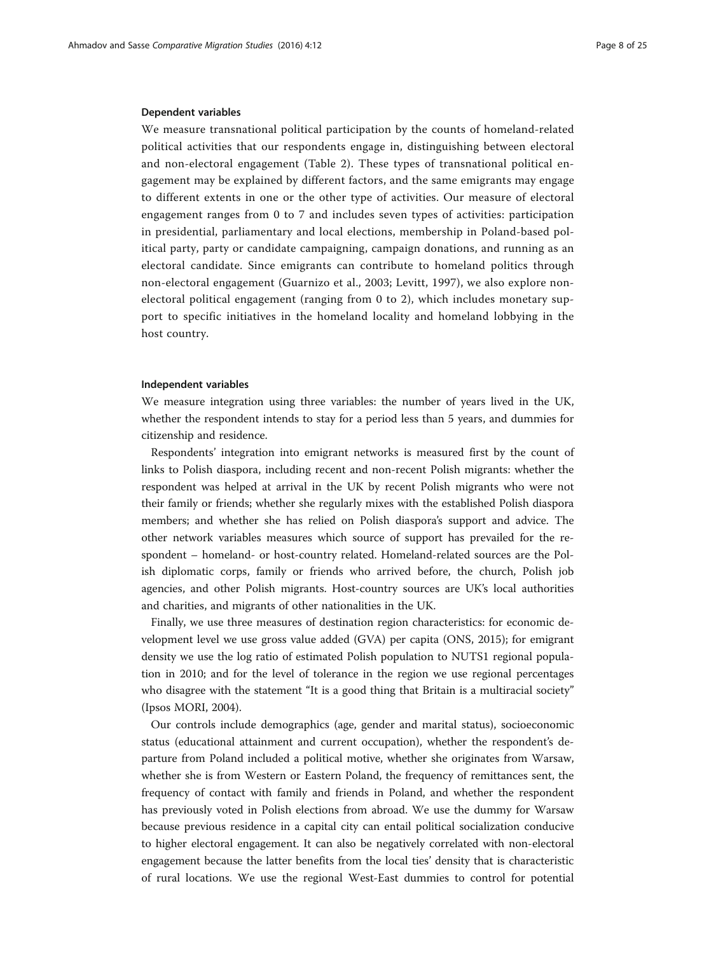#### Dependent variables

We measure transnational political participation by the counts of homeland-related political activities that our respondents engage in, distinguishing between electoral and non-electoral engagement (Table [2\)](#page-8-0). These types of transnational political engagement may be explained by different factors, and the same emigrants may engage to different extents in one or the other type of activities. Our measure of electoral engagement ranges from 0 to 7 and includes seven types of activities: participation in presidential, parliamentary and local elections, membership in Poland-based political party, party or candidate campaigning, campaign donations, and running as an electoral candidate. Since emigrants can contribute to homeland politics through non-electoral engagement (Guarnizo et al., [2003](#page-23-0); Levitt, [1997\)](#page-24-0), we also explore nonelectoral political engagement (ranging from 0 to 2), which includes monetary support to specific initiatives in the homeland locality and homeland lobbying in the host country.

## Independent variables

We measure integration using three variables: the number of years lived in the UK, whether the respondent intends to stay for a period less than 5 years, and dummies for citizenship and residence.

Respondents' integration into emigrant networks is measured first by the count of links to Polish diaspora, including recent and non-recent Polish migrants: whether the respondent was helped at arrival in the UK by recent Polish migrants who were not their family or friends; whether she regularly mixes with the established Polish diaspora members; and whether she has relied on Polish diaspora's support and advice. The other network variables measures which source of support has prevailed for the respondent – homeland- or host-country related. Homeland-related sources are the Polish diplomatic corps, family or friends who arrived before, the church, Polish job agencies, and other Polish migrants. Host-country sources are UK's local authorities and charities, and migrants of other nationalities in the UK.

Finally, we use three measures of destination region characteristics: for economic development level we use gross value added (GVA) per capita (ONS, [2015](#page-24-0)); for emigrant density we use the log ratio of estimated Polish population to NUTS1 regional population in 2010; and for the level of tolerance in the region we use regional percentages who disagree with the statement "It is a good thing that Britain is a multiracial society" (Ipsos MORI, [2004\)](#page-23-0).

Our controls include demographics (age, gender and marital status), socioeconomic status (educational attainment and current occupation), whether the respondent's departure from Poland included a political motive, whether she originates from Warsaw, whether she is from Western or Eastern Poland, the frequency of remittances sent, the frequency of contact with family and friends in Poland, and whether the respondent has previously voted in Polish elections from abroad. We use the dummy for Warsaw because previous residence in a capital city can entail political socialization conducive to higher electoral engagement. It can also be negatively correlated with non-electoral engagement because the latter benefits from the local ties' density that is characteristic of rural locations. We use the regional West-East dummies to control for potential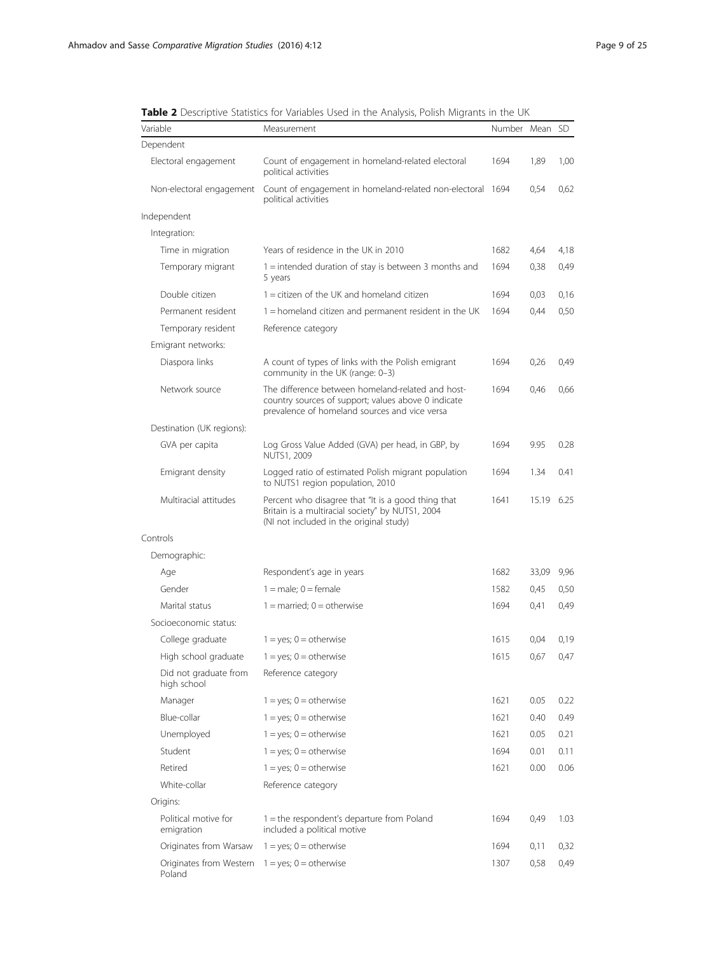| Variable                             | Measurement                                                                                                                                               | Number Mean |       | <b>SD</b> |
|--------------------------------------|-----------------------------------------------------------------------------------------------------------------------------------------------------------|-------------|-------|-----------|
| Dependent                            |                                                                                                                                                           |             |       |           |
| Electoral engagement                 | Count of engagement in homeland-related electoral<br>political activities                                                                                 | 1694        | 1,89  | 1,00      |
| Non-electoral engagement             | Count of engagement in homeland-related non-electoral<br>1694<br>political activities                                                                     |             | 0,54  | 0,62      |
| Independent                          |                                                                                                                                                           |             |       |           |
| Integration:                         |                                                                                                                                                           |             |       |           |
| Time in migration                    | Years of residence in the UK in 2010                                                                                                                      | 1682        | 4,64  | 4,18      |
| Temporary migrant                    | $1 =$ intended duration of stay is between 3 months and<br>5 years                                                                                        | 1694        | 0,38  | 0,49      |
| Double citizen                       | $1 =$ citizen of the UK and homeland citizen                                                                                                              | 1694        | 0,03  | 0,16      |
| Permanent resident                   | $1 =$ homeland citizen and permanent resident in the UK                                                                                                   | 1694        | 0,44  | 0,50      |
| Temporary resident                   | Reference category                                                                                                                                        |             |       |           |
| Emigrant networks:                   |                                                                                                                                                           |             |       |           |
| Diaspora links                       | A count of types of links with the Polish emigrant<br>community in the UK (range: 0-3)                                                                    | 1694        | 0,26  | 0.49      |
| Network source                       | The difference between homeland-related and host-<br>country sources of support; values above 0 indicate<br>prevalence of homeland sources and vice versa | 1694        | 0,46  | 0,66      |
| Destination (UK regions):            |                                                                                                                                                           |             |       |           |
| GVA per capita                       | Log Gross Value Added (GVA) per head, in GBP, by<br>NUTS1, 2009                                                                                           | 1694        | 9.95  | 0.28      |
| Emigrant density                     | Logged ratio of estimated Polish migrant population<br>to NUTS1 region population, 2010                                                                   | 1694        | 1.34  | 0.41      |
| Multiracial attitudes                | Percent who disagree that "It is a good thing that<br>Britain is a multiracial society" by NUTS1, 2004<br>(NI not included in the original study)         | 1641        | 15.19 | 6.25      |
| Controls                             |                                                                                                                                                           |             |       |           |
| Demographic:                         |                                                                                                                                                           |             |       |           |
| Age                                  | Respondent's age in years                                                                                                                                 | 1682        | 33,09 | 9,96      |
| Gender                               | $1 =$ male: $0 =$ female                                                                                                                                  | 1582        | 0,45  | 0,50      |
| Marital status                       | $1 =$ married; $0 =$ otherwise                                                                                                                            | 1694        | 0,41  | 0,49      |
| Socioeconomic status:                |                                                                                                                                                           |             |       |           |
| College graduate                     | $1 = yes$ ; 0 = otherwise                                                                                                                                 | 1615        | 0,04  | 0,19      |
| High school graduate                 | $1 = yes$ ; $0 = otherwise$                                                                                                                               | 1615        | 0,67  | 0,47      |
| Did not graduate from<br>high school | Reference category                                                                                                                                        |             |       |           |
| Manager                              | $1 = yes$ ; $0 = otherwise$                                                                                                                               | 1621        | 0.05  | 0.22      |
| Blue-collar                          | $1 = yes$ ; $0 = otherwise$                                                                                                                               | 1621        | 0.40  | 0.49      |
| Unemployed                           | $1 = yes$ ; 0 = otherwise                                                                                                                                 | 1621        | 0.05  | 0.21      |
| Student                              | $1 = yes$ ; 0 = otherwise                                                                                                                                 | 1694        | 0.01  | 0.11      |
| Retired                              | $1 = yes$ ; 0 = otherwise                                                                                                                                 | 1621        | 0.00  | 0.06      |
| White-collar                         | Reference category                                                                                                                                        |             |       |           |
| Origins:                             |                                                                                                                                                           |             |       |           |
| Political motive for<br>emigration   | $1$ = the respondent's departure from Poland<br>included a political motive                                                                               | 1694        | 0,49  | 1.03      |
| Originates from Warsaw               | $1 = yes$ ; 0 = otherwise                                                                                                                                 | 1694        | 0,11  | 0,32      |
| Originates from Western<br>Poland    | $1 = yes$ ; 0 = otherwise                                                                                                                                 | 1307        | 0,58  | 0,49      |

<span id="page-8-0"></span>Table 2 Descriptive Statistics for Variables Used in the Analysis, Polish Migrants in the UK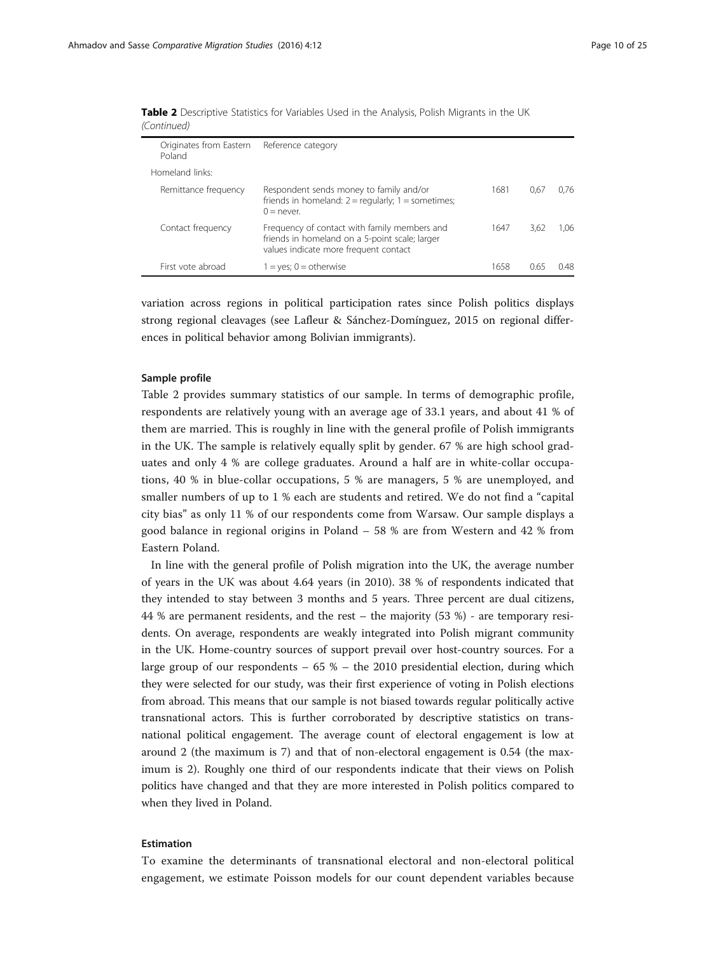| Originates from Eastern<br>Poland | Reference category                                                                                                                      |      |      |       |
|-----------------------------------|-----------------------------------------------------------------------------------------------------------------------------------------|------|------|-------|
| Homeland links:                   |                                                                                                                                         |      |      |       |
| Remittance frequency              | Respondent sends money to family and/or<br>friends in homeland: $2 =$ regularly; $1 =$ sometimes;<br>$0 =$ never.                       | 1681 | 0.67 | 0.76  |
| Contact frequency                 | Frequency of contact with family members and<br>friends in homeland on a 5-point scale; larger<br>values indicate more frequent contact | 1647 | 3.62 | 1.06  |
| First vote abroad                 | $1 = yes$ ; $0 = otherwise$                                                                                                             | 1658 | (165 | () 48 |

Table 2 Descriptive Statistics for Variables Used in the Analysis, Polish Migrants in the UK (Continued)

variation across regions in political participation rates since Polish politics displays strong regional cleavages (see Lafleur & Sánchez-Domínguez, [2015](#page-23-0) on regional differences in political behavior among Bolivian immigrants).

## Sample profile

Table [2](#page-8-0) provides summary statistics of our sample. In terms of demographic profile, respondents are relatively young with an average age of 33.1 years, and about 41 % of them are married. This is roughly in line with the general profile of Polish immigrants in the UK. The sample is relatively equally split by gender. 67 % are high school graduates and only 4 % are college graduates. Around a half are in white-collar occupations, 40 % in blue-collar occupations, 5 % are managers, 5 % are unemployed, and smaller numbers of up to 1 % each are students and retired. We do not find a "capital city bias" as only 11 % of our respondents come from Warsaw. Our sample displays a good balance in regional origins in Poland – 58 % are from Western and 42 % from Eastern Poland.

In line with the general profile of Polish migration into the UK, the average number of years in the UK was about 4.64 years (in 2010). 38 % of respondents indicated that they intended to stay between 3 months and 5 years. Three percent are dual citizens, 44 % are permanent residents, and the rest – the majority (53 %) - are temporary residents. On average, respondents are weakly integrated into Polish migrant community in the UK. Home-country sources of support prevail over host-country sources. For a large group of our respondents  $-65$  %  $-$  the 2010 presidential election, during which they were selected for our study, was their first experience of voting in Polish elections from abroad. This means that our sample is not biased towards regular politically active transnational actors. This is further corroborated by descriptive statistics on transnational political engagement. The average count of electoral engagement is low at around 2 (the maximum is 7) and that of non-electoral engagement is 0.54 (the maximum is 2). Roughly one third of our respondents indicate that their views on Polish politics have changed and that they are more interested in Polish politics compared to when they lived in Poland.

### Estimation

To examine the determinants of transnational electoral and non-electoral political engagement, we estimate Poisson models for our count dependent variables because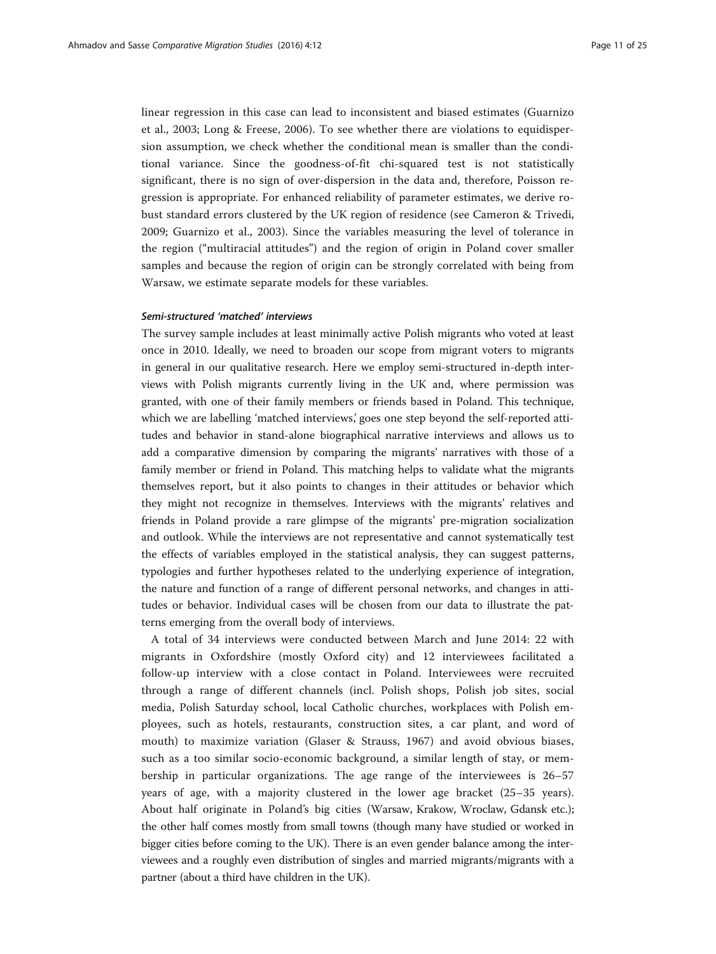linear regression in this case can lead to inconsistent and biased estimates (Guarnizo et al., [2003;](#page-23-0) Long & Freese, [2006\)](#page-24-0). To see whether there are violations to equidispersion assumption, we check whether the conditional mean is smaller than the conditional variance. Since the goodness-of-fit chi-squared test is not statistically significant, there is no sign of over-dispersion in the data and, therefore, Poisson regression is appropriate. For enhanced reliability of parameter estimates, we derive robust standard errors clustered by the UK region of residence (see Cameron & Trivedi, [2009;](#page-23-0) Guarnizo et al., [2003](#page-23-0)). Since the variables measuring the level of tolerance in the region ("multiracial attitudes") and the region of origin in Poland cover smaller samples and because the region of origin can be strongly correlated with being from Warsaw, we estimate separate models for these variables.

## Semi-structured 'matched' interviews

The survey sample includes at least minimally active Polish migrants who voted at least once in 2010. Ideally, we need to broaden our scope from migrant voters to migrants in general in our qualitative research. Here we employ semi-structured in-depth interviews with Polish migrants currently living in the UK and, where permission was granted, with one of their family members or friends based in Poland. This technique, which we are labelling 'matched interviews,' goes one step beyond the self-reported attitudes and behavior in stand-alone biographical narrative interviews and allows us to add a comparative dimension by comparing the migrants' narratives with those of a family member or friend in Poland. This matching helps to validate what the migrants themselves report, but it also points to changes in their attitudes or behavior which they might not recognize in themselves. Interviews with the migrants' relatives and friends in Poland provide a rare glimpse of the migrants' pre-migration socialization and outlook. While the interviews are not representative and cannot systematically test the effects of variables employed in the statistical analysis, they can suggest patterns, typologies and further hypotheses related to the underlying experience of integration, the nature and function of a range of different personal networks, and changes in attitudes or behavior. Individual cases will be chosen from our data to illustrate the patterns emerging from the overall body of interviews.

A total of 34 interviews were conducted between March and June 2014: 22 with migrants in Oxfordshire (mostly Oxford city) and 12 interviewees facilitated a follow-up interview with a close contact in Poland. Interviewees were recruited through a range of different channels (incl. Polish shops, Polish job sites, social media, Polish Saturday school, local Catholic churches, workplaces with Polish employees, such as hotels, restaurants, construction sites, a car plant, and word of mouth) to maximize variation (Glaser & Strauss, [1967\)](#page-23-0) and avoid obvious biases, such as a too similar socio-economic background, a similar length of stay, or membership in particular organizations. The age range of the interviewees is 26–57 years of age, with a majority clustered in the lower age bracket (25–35 years). About half originate in Poland's big cities (Warsaw, Krakow, Wroclaw, Gdansk etc.); the other half comes mostly from small towns (though many have studied or worked in bigger cities before coming to the UK). There is an even gender balance among the interviewees and a roughly even distribution of singles and married migrants/migrants with a partner (about a third have children in the UK).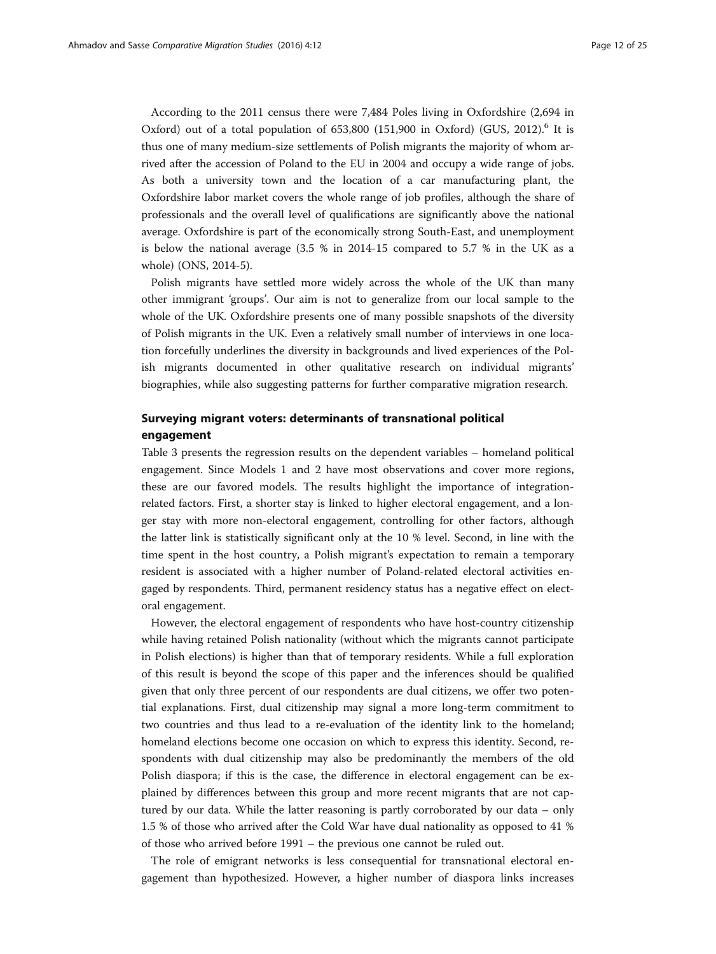According to the 2011 census there were 7,484 Poles living in Oxfordshire (2,694 in Oxford) out of a total population of  $653,800$  (151,900 in Oxford) (GUS, [2012\)](#page-23-0).<sup>6</sup> It is thus one of many medium-size settlements of Polish migrants the majority of whom arrived after the accession of Poland to the EU in 2004 and occupy a wide range of jobs. As both a university town and the location of a car manufacturing plant, the Oxfordshire labor market covers the whole range of job profiles, although the share of professionals and the overall level of qualifications are significantly above the national average. Oxfordshire is part of the economically strong South-East, and unemployment is below the national average (3.5 % in 2014-15 compared to 5.7 % in the UK as a whole) (ONS, [2014-5\)](#page-24-0).

Polish migrants have settled more widely across the whole of the UK than many other immigrant 'groups'. Our aim is not to generalize from our local sample to the whole of the UK. Oxfordshire presents one of many possible snapshots of the diversity of Polish migrants in the UK. Even a relatively small number of interviews in one location forcefully underlines the diversity in backgrounds and lived experiences of the Polish migrants documented in other qualitative research on individual migrants' biographies, while also suggesting patterns for further comparative migration research.

# Surveying migrant voters: determinants of transnational political engagement

Table [3](#page-12-0) presents the regression results on the dependent variables – homeland political engagement. Since Models 1 and 2 have most observations and cover more regions, these are our favored models. The results highlight the importance of integrationrelated factors. First, a shorter stay is linked to higher electoral engagement, and a longer stay with more non-electoral engagement, controlling for other factors, although the latter link is statistically significant only at the 10 % level. Second, in line with the time spent in the host country, a Polish migrant's expectation to remain a temporary resident is associated with a higher number of Poland-related electoral activities engaged by respondents. Third, permanent residency status has a negative effect on electoral engagement.

However, the electoral engagement of respondents who have host-country citizenship while having retained Polish nationality (without which the migrants cannot participate in Polish elections) is higher than that of temporary residents. While a full exploration of this result is beyond the scope of this paper and the inferences should be qualified given that only three percent of our respondents are dual citizens, we offer two potential explanations. First, dual citizenship may signal a more long-term commitment to two countries and thus lead to a re-evaluation of the identity link to the homeland; homeland elections become one occasion on which to express this identity. Second, respondents with dual citizenship may also be predominantly the members of the old Polish diaspora; if this is the case, the difference in electoral engagement can be explained by differences between this group and more recent migrants that are not captured by our data. While the latter reasoning is partly corroborated by our data – only 1.5 % of those who arrived after the Cold War have dual nationality as opposed to 41 % of those who arrived before 1991 – the previous one cannot be ruled out.

The role of emigrant networks is less consequential for transnational electoral engagement than hypothesized. However, a higher number of diaspora links increases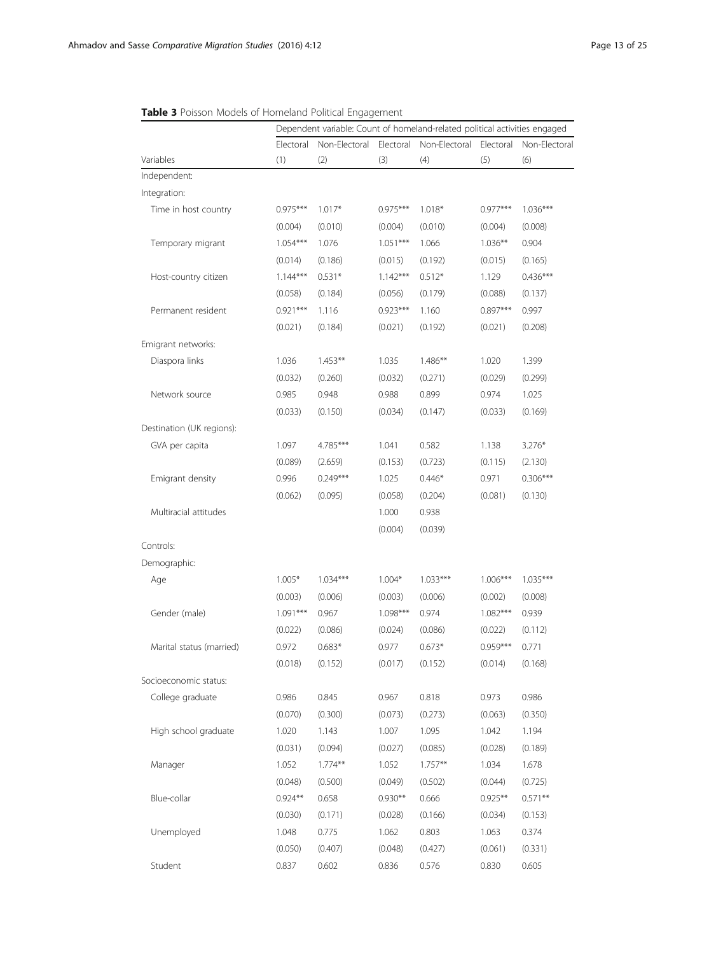| Electoral<br>Non-Electoral<br>Electoral<br>Non-Electoral<br>Electoral<br>Variables<br>(1)<br>(2)<br>(3)<br>(4)<br>(5)<br>Independent:<br>Integration:<br>Time in host country<br>$0.975***$<br>$1.017*$<br>$0.975***$<br>$1.018*$<br>$0.977***$ | Non-Electora<br>(6)<br>$1.036***$<br>(0.008)<br>0.904<br>(0.165) |
|-------------------------------------------------------------------------------------------------------------------------------------------------------------------------------------------------------------------------------------------------|------------------------------------------------------------------|
|                                                                                                                                                                                                                                                 |                                                                  |
|                                                                                                                                                                                                                                                 |                                                                  |
|                                                                                                                                                                                                                                                 |                                                                  |
|                                                                                                                                                                                                                                                 |                                                                  |
|                                                                                                                                                                                                                                                 |                                                                  |
| (0.004)<br>(0.010)<br>(0.004)<br>(0.010)<br>(0.004)                                                                                                                                                                                             |                                                                  |
| $1.054***$<br>1.076<br>$1.051***$<br>1.066<br>$1.036**$<br>Temporary migrant                                                                                                                                                                    |                                                                  |
| (0.014)<br>(0.186)<br>(0.015)<br>(0.192)<br>(0.015)                                                                                                                                                                                             |                                                                  |
| $1.144***$<br>$0.531*$<br>$0.512*$<br>Host-country citizen<br>$1.142***$<br>1.129                                                                                                                                                               | $0.436***$                                                       |
| (0.058)<br>(0.184)<br>(0.056)<br>(0.179)<br>(0.088)                                                                                                                                                                                             | (0.137)                                                          |
| Permanent resident<br>$0.921***$<br>1.116<br>$0.923***$<br>1.160<br>$0.897***$                                                                                                                                                                  | 0.997                                                            |
| (0.192)<br>(0.021)<br>(0.184)<br>(0.021)<br>(0.021)                                                                                                                                                                                             | (0.208)                                                          |
| Emigrant networks:                                                                                                                                                                                                                              |                                                                  |
| Diaspora links<br>1.036<br>$1.453**$<br>1.035<br>$1.486**$<br>1.020                                                                                                                                                                             | 1.399                                                            |
| (0.032)<br>(0.260)<br>(0.032)<br>(0.271)<br>(0.029)                                                                                                                                                                                             | (0.299)                                                          |
| Network source<br>0.985<br>0.948<br>0.988<br>0.899<br>0.974                                                                                                                                                                                     | 1.025                                                            |
| (0.033)<br>(0.150)<br>(0.034)<br>(0.147)<br>(0.033)                                                                                                                                                                                             | (0.169)                                                          |
| Destination (UK regions):                                                                                                                                                                                                                       |                                                                  |
| 4.785***<br>1.097<br>1.041<br>0.582<br>1.138<br>GVA per capita                                                                                                                                                                                  | 3.276*                                                           |
| (0.089)<br>(2.659)<br>(0.153)<br>(0.723)<br>(0.115)                                                                                                                                                                                             | (2.130)                                                          |
| 0.971<br>Emigrant density<br>0.996<br>$0.249***$<br>1.025<br>$0.446*$                                                                                                                                                                           | $0.306***$                                                       |
| (0.095)<br>(0.204)<br>(0.062)<br>(0.058)<br>(0.081)                                                                                                                                                                                             | (0.130)                                                          |
| Multiracial attitudes<br>1.000<br>0.938                                                                                                                                                                                                         |                                                                  |
| (0.004)<br>(0.039)                                                                                                                                                                                                                              |                                                                  |
| Controls:                                                                                                                                                                                                                                       |                                                                  |
| Demographic:                                                                                                                                                                                                                                    |                                                                  |
| $1.005*$<br>$1.034***$<br>$1.004*$<br>$1.033***$<br>$1.006***$<br>Age                                                                                                                                                                           | $1.035***$                                                       |
| (0.003)<br>(0.006)<br>(0.003)<br>(0.006)<br>(0.002)                                                                                                                                                                                             | (0.008)                                                          |
| $1.091***$<br>Gender (male)<br>0.967<br>$1.098***$<br>0.974<br>$1.082***$                                                                                                                                                                       | 0.939                                                            |
| (0.022)<br>(0.086)<br>(0.024)<br>(0.086)<br>(0.022)                                                                                                                                                                                             | (0.112)                                                          |
| $0.673*$<br>$0.959***$<br>Marital status (married)<br>0.972<br>$0.683*$<br>0.977                                                                                                                                                                | 0.771                                                            |
| (0.018)<br>(0.152)<br>(0.017)<br>(0.152)<br>(0.014)                                                                                                                                                                                             | (0.168)                                                          |
| Socioeconomic status:                                                                                                                                                                                                                           |                                                                  |
| College graduate<br>0.986<br>0.845<br>0.967<br>0.818<br>0.973                                                                                                                                                                                   | 0.986                                                            |
| (0.070)<br>(0.300)<br>(0.273)<br>(0.073)<br>(0.063)                                                                                                                                                                                             | (0.350)                                                          |
| High school graduate<br>1.143<br>1.095<br>1.020<br>1.007<br>1.042                                                                                                                                                                               | 1.194                                                            |
| (0.094)<br>(0.085)<br>(0.031)<br>(0.027)<br>(0.028)                                                                                                                                                                                             | (0.189)                                                          |
| Manager<br>1.052<br>$1.774**$<br>1.052<br>$1.757**$<br>1.034                                                                                                                                                                                    | 1.678                                                            |
| (0.048)<br>(0.500)<br>(0.049)<br>(0.502)<br>(0.044)                                                                                                                                                                                             | (0.725)                                                          |
| $0.924**$<br>Blue-collar<br>0.658<br>$0.930**$<br>0.666<br>$0.925**$                                                                                                                                                                            | $0.571**$                                                        |
| (0.166)<br>(0.030)<br>(0.171)<br>(0.028)<br>(0.034)                                                                                                                                                                                             | (0.153)                                                          |
| Unemployed<br>1.048<br>0.775<br>1.062<br>0.803<br>1.063                                                                                                                                                                                         | 0.374                                                            |
| (0.050)<br>(0.407)<br>(0.048)<br>(0.427)<br>(0.061)                                                                                                                                                                                             | (0.331)                                                          |

Student 0.837 0.602 0.836 0.576 0.830 0.605

<span id="page-12-0"></span>Table 3 Poisson Models of Homeland Political Engagement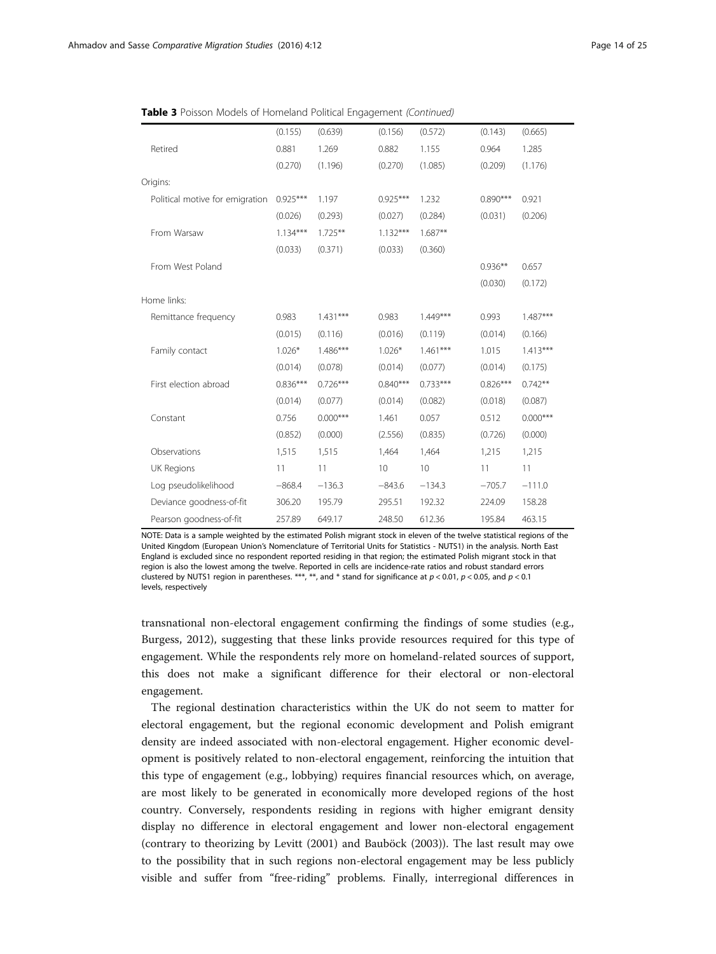| (0.155)    | (0.639)     | (0.156)    | (0.572)    | (0.143)    | (0.665)    |
|------------|-------------|------------|------------|------------|------------|
| 0.881      | 1.269       | 0.882      | 1.155      | 0.964      | 1.285      |
| (0.270)    | (1.196)     | (0.270)    | (1.085)    | (0.209)    | (1.176)    |
|            |             |            |            |            |            |
| $0.925***$ | 1.197       | $0.925***$ | 1.232      | $0.890***$ | 0.921      |
| (0.026)    | (0.293)     | (0.027)    | (0.284)    | (0.031)    | (0.206)    |
| $1.134***$ | $1.725***$  | $1.132***$ | $1.687**$  |            |            |
| (0.033)    | (0.371)     | (0.033)    | (0.360)    |            |            |
|            |             |            |            | $0.936***$ | 0.657      |
|            |             |            |            | (0.030)    | (0.172)    |
|            |             |            |            |            |            |
| 0.983      | $1.431***$  | 0.983      | $1.449***$ | 0.993      | $1.487***$ |
| (0.015)    | (0.116)     | (0.016)    | (0.119)    | (0.014)    | (0.166)    |
| $1.026*$   | $1.486***$  | $1.026*$   | $1.461***$ | 1.015      | $1.413***$ |
| (0.014)    | (0.078)     | (0.014)    | (0.077)    | (0.014)    | (0.175)    |
| $0.836***$ | $0.726***$  | $0.840***$ | $0.733***$ | $0.826***$ | $0.742**$  |
| (0.014)    | (0.077)     | (0.014)    | (0.082)    | (0.018)    | (0.087)    |
| 0.756      | $0.000$ *** | 1.461      | 0.057      | 0.512      | $0.000***$ |
| (0.852)    | (0.000)     | (2.556)    | (0.835)    | (0.726)    | (0.000)    |
| 1,515      | 1,515       | 1,464      | 1,464      | 1,215      | 1,215      |
| 11         | 11          | 10         | 10         | 11         | 11         |
| $-868.4$   | $-136.3$    | $-843.6$   | $-134.3$   | $-705.7$   | $-111.0$   |
| 306.20     | 195.79      | 295.51     | 192.32     | 224.09     | 158.28     |
| 257.89     | 649.17      | 248.50     | 612.36     | 195.84     | 463.15     |
|            |             |            |            |            |            |

Table 3 Poisson Models of Homeland Political Engagement (Continued)

NOTE: Data is a sample weighted by the estimated Polish migrant stock in eleven of the twelve statistical regions of the United Kingdom (European Union's Nomenclature of Territorial Units for Statistics - NUTS1) in the analysis. North East England is excluded since no respondent reported residing in that region; the estimated Polish migrant stock in that region is also the lowest among the twelve. Reported in cells are incidence-rate ratios and robust standard errors clustered by NUTS1 region in parentheses. \*\*\*, \*\*, and \* stand for significance at  $p < 0.01$ ,  $p < 0.05$ , and  $p < 0.1$ levels, respectively

transnational non-electoral engagement confirming the findings of some studies (e.g., Burgess, [2012\)](#page-23-0), suggesting that these links provide resources required for this type of engagement. While the respondents rely more on homeland-related sources of support, this does not make a significant difference for their electoral or non-electoral engagement.

The regional destination characteristics within the UK do not seem to matter for electoral engagement, but the regional economic development and Polish emigrant density are indeed associated with non-electoral engagement. Higher economic development is positively related to non-electoral engagement, reinforcing the intuition that this type of engagement (e.g., lobbying) requires financial resources which, on average, are most likely to be generated in economically more developed regions of the host country. Conversely, respondents residing in regions with higher emigrant density display no difference in electoral engagement and lower non-electoral engagement (contrary to theorizing by Levitt [\(2001\)](#page-24-0) and Bauböck [\(2003\)](#page-23-0)). The last result may owe to the possibility that in such regions non-electoral engagement may be less publicly visible and suffer from "free-riding" problems. Finally, interregional differences in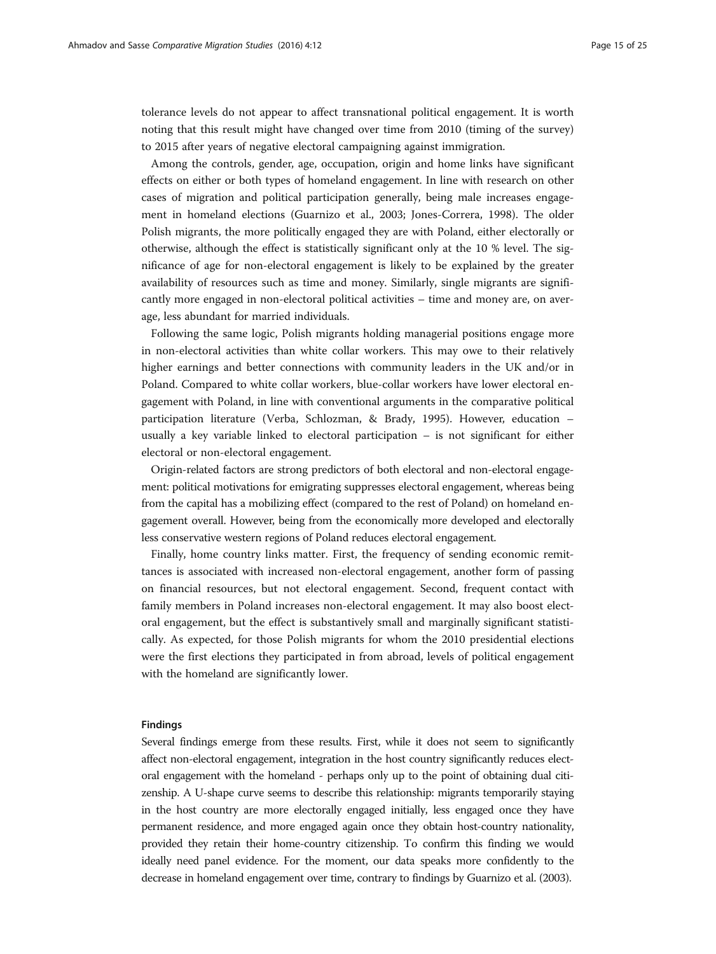tolerance levels do not appear to affect transnational political engagement. It is worth noting that this result might have changed over time from 2010 (timing of the survey) to 2015 after years of negative electoral campaigning against immigration.

Among the controls, gender, age, occupation, origin and home links have significant effects on either or both types of homeland engagement. In line with research on other cases of migration and political participation generally, being male increases engagement in homeland elections (Guarnizo et al., [2003](#page-23-0); Jones-Correra, [1998\)](#page-23-0). The older Polish migrants, the more politically engaged they are with Poland, either electorally or otherwise, although the effect is statistically significant only at the 10 % level. The significance of age for non-electoral engagement is likely to be explained by the greater availability of resources such as time and money. Similarly, single migrants are significantly more engaged in non-electoral political activities – time and money are, on average, less abundant for married individuals.

Following the same logic, Polish migrants holding managerial positions engage more in non-electoral activities than white collar workers. This may owe to their relatively higher earnings and better connections with community leaders in the UK and/or in Poland. Compared to white collar workers, blue-collar workers have lower electoral engagement with Poland, in line with conventional arguments in the comparative political participation literature (Verba, Schlozman, & Brady, [1995\)](#page-24-0). However, education – usually a key variable linked to electoral participation – is not significant for either electoral or non-electoral engagement.

Origin-related factors are strong predictors of both electoral and non-electoral engagement: political motivations for emigrating suppresses electoral engagement, whereas being from the capital has a mobilizing effect (compared to the rest of Poland) on homeland engagement overall. However, being from the economically more developed and electorally less conservative western regions of Poland reduces electoral engagement.

Finally, home country links matter. First, the frequency of sending economic remittances is associated with increased non-electoral engagement, another form of passing on financial resources, but not electoral engagement. Second, frequent contact with family members in Poland increases non-electoral engagement. It may also boost electoral engagement, but the effect is substantively small and marginally significant statistically. As expected, for those Polish migrants for whom the 2010 presidential elections were the first elections they participated in from abroad, levels of political engagement with the homeland are significantly lower.

#### Findings

Several findings emerge from these results. First, while it does not seem to significantly affect non-electoral engagement, integration in the host country significantly reduces electoral engagement with the homeland - perhaps only up to the point of obtaining dual citizenship. A U-shape curve seems to describe this relationship: migrants temporarily staying in the host country are more electorally engaged initially, less engaged once they have permanent residence, and more engaged again once they obtain host-country nationality, provided they retain their home-country citizenship. To confirm this finding we would ideally need panel evidence. For the moment, our data speaks more confidently to the decrease in homeland engagement over time, contrary to findings by Guarnizo et al. ([2003\)](#page-23-0).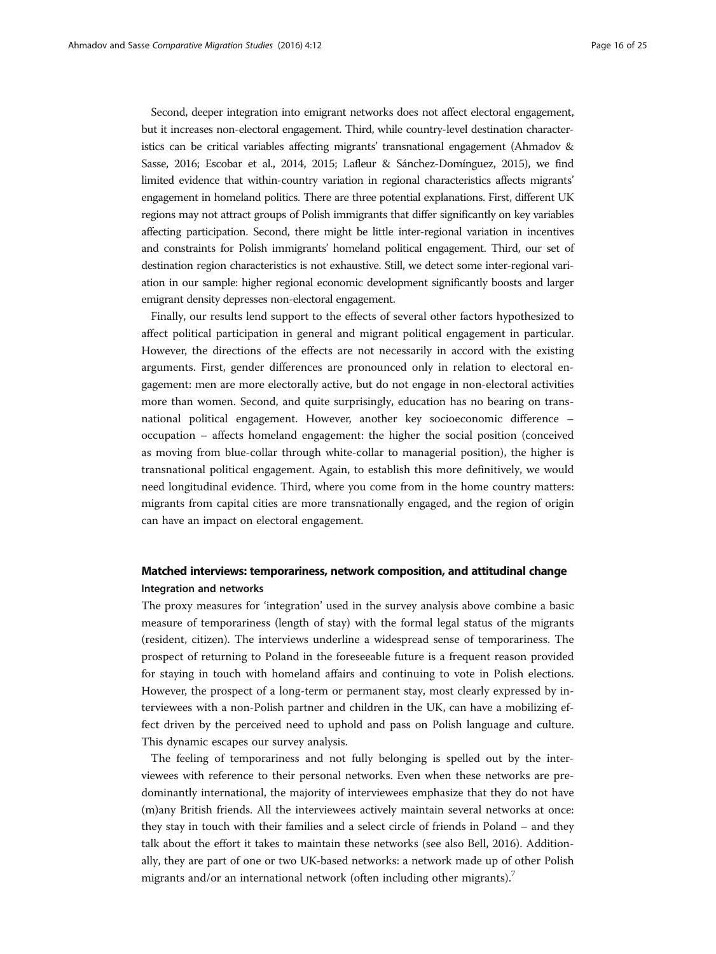Second, deeper integration into emigrant networks does not affect electoral engagement, but it increases non-electoral engagement. Third, while country-level destination characteristics can be critical variables affecting migrants' transnational engagement (Ahmadov & Sasse, [2016;](#page-23-0) Escobar et al., [2014, 2015;](#page-23-0) Lafleur & Sánchez-Domínguez, [2015](#page-23-0)), we find limited evidence that within-country variation in regional characteristics affects migrants' engagement in homeland politics. There are three potential explanations. First, different UK regions may not attract groups of Polish immigrants that differ significantly on key variables affecting participation. Second, there might be little inter-regional variation in incentives and constraints for Polish immigrants' homeland political engagement. Third, our set of destination region characteristics is not exhaustive. Still, we detect some inter-regional variation in our sample: higher regional economic development significantly boosts and larger emigrant density depresses non-electoral engagement.

Finally, our results lend support to the effects of several other factors hypothesized to affect political participation in general and migrant political engagement in particular. However, the directions of the effects are not necessarily in accord with the existing arguments. First, gender differences are pronounced only in relation to electoral engagement: men are more electorally active, but do not engage in non-electoral activities more than women. Second, and quite surprisingly, education has no bearing on transnational political engagement. However, another key socioeconomic difference – occupation – affects homeland engagement: the higher the social position (conceived as moving from blue-collar through white-collar to managerial position), the higher is transnational political engagement. Again, to establish this more definitively, we would need longitudinal evidence. Third, where you come from in the home country matters: migrants from capital cities are more transnationally engaged, and the region of origin can have an impact on electoral engagement.

# Matched interviews: temporariness, network composition, and attitudinal change Integration and networks

The proxy measures for 'integration' used in the survey analysis above combine a basic measure of temporariness (length of stay) with the formal legal status of the migrants (resident, citizen). The interviews underline a widespread sense of temporariness. The prospect of returning to Poland in the foreseeable future is a frequent reason provided for staying in touch with homeland affairs and continuing to vote in Polish elections. However, the prospect of a long-term or permanent stay, most clearly expressed by interviewees with a non-Polish partner and children in the UK, can have a mobilizing effect driven by the perceived need to uphold and pass on Polish language and culture. This dynamic escapes our survey analysis.

The feeling of temporariness and not fully belonging is spelled out by the interviewees with reference to their personal networks. Even when these networks are predominantly international, the majority of interviewees emphasize that they do not have (m)any British friends. All the interviewees actively maintain several networks at once: they stay in touch with their families and a select circle of friends in Poland – and they talk about the effort it takes to maintain these networks (see also Bell, [2016](#page-23-0)). Additionally, they are part of one or two UK-based networks: a network made up of other Polish migrants and/or an international network (often including other migrants).<sup>7</sup>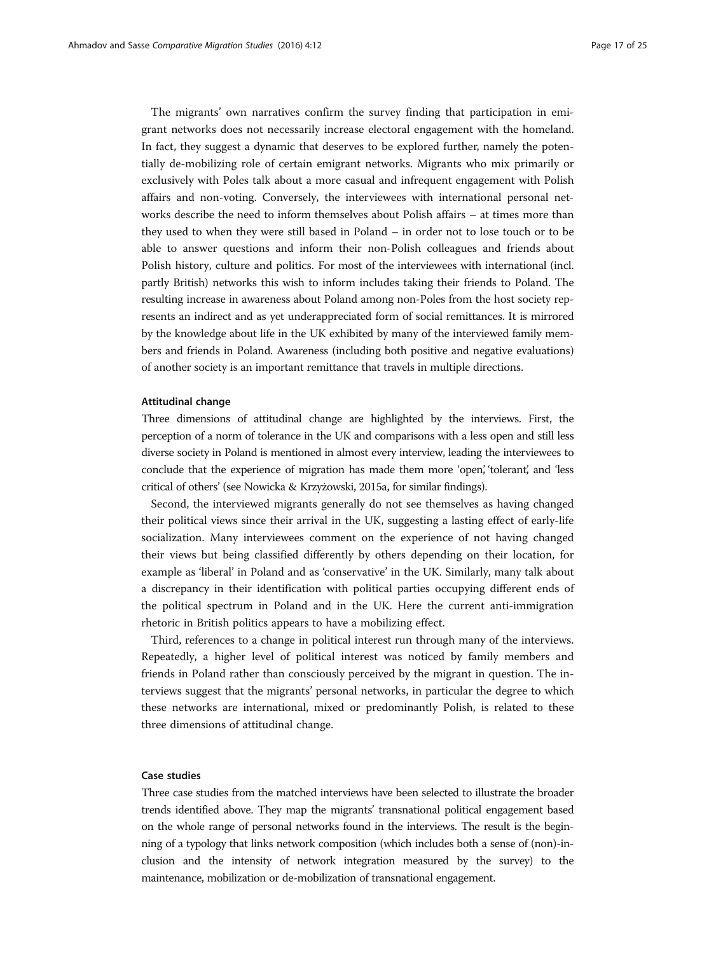The migrants' own narratives confirm the survey finding that participation in emigrant networks does not necessarily increase electoral engagement with the homeland. In fact, they suggest a dynamic that deserves to be explored further, namely the potentially de-mobilizing role of certain emigrant networks. Migrants who mix primarily or exclusively with Poles talk about a more casual and infrequent engagement with Polish affairs and non-voting. Conversely, the interviewees with international personal networks describe the need to inform themselves about Polish affairs – at times more than they used to when they were still based in Poland – in order not to lose touch or to be able to answer questions and inform their non-Polish colleagues and friends about Polish history, culture and politics. For most of the interviewees with international (incl. partly British) networks this wish to inform includes taking their friends to Poland. The resulting increase in awareness about Poland among non-Poles from the host society represents an indirect and as yet underappreciated form of social remittances. It is mirrored by the knowledge about life in the UK exhibited by many of the interviewed family members and friends in Poland. Awareness (including both positive and negative evaluations) of another society is an important remittance that travels in multiple directions.

#### Attitudinal change

Three dimensions of attitudinal change are highlighted by the interviews. First, the perception of a norm of tolerance in the UK and comparisons with a less open and still less diverse society in Poland is mentioned in almost every interview, leading the interviewees to conclude that the experience of migration has made them more 'open', 'tolerant', and 'less critical of others' (see Nowicka & Krzyżowski, [2015a](#page-24-0), for similar findings).

Second, the interviewed migrants generally do not see themselves as having changed their political views since their arrival in the UK, suggesting a lasting effect of early-life socialization. Many interviewees comment on the experience of not having changed their views but being classified differently by others depending on their location, for example as 'liberal' in Poland and as 'conservative' in the UK. Similarly, many talk about a discrepancy in their identification with political parties occupying different ends of the political spectrum in Poland and in the UK. Here the current anti-immigration rhetoric in British politics appears to have a mobilizing effect.

Third, references to a change in political interest run through many of the interviews. Repeatedly, a higher level of political interest was noticed by family members and friends in Poland rather than consciously perceived by the migrant in question. The interviews suggest that the migrants' personal networks, in particular the degree to which these networks are international, mixed or predominantly Polish, is related to these three dimensions of attitudinal change.

#### Case studies

Three case studies from the matched interviews have been selected to illustrate the broader trends identified above. They map the migrants' transnational political engagement based on the whole range of personal networks found in the interviews. The result is the beginning of a typology that links network composition (which includes both a sense of (non)-inclusion and the intensity of network integration measured by the survey) to the maintenance, mobilization or de-mobilization of transnational engagement.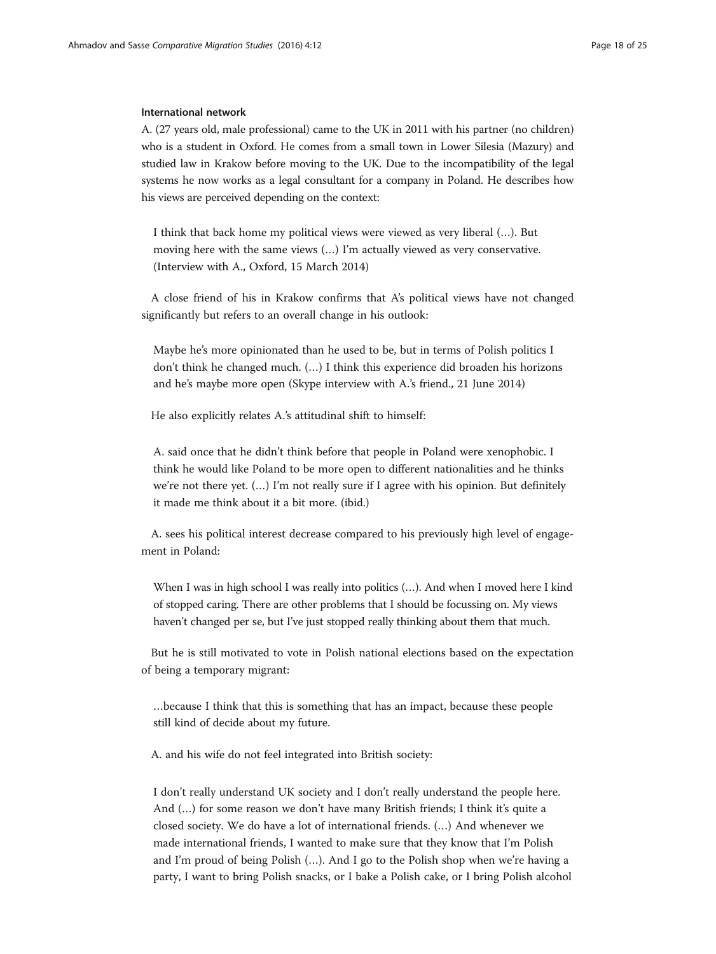#### International network

A. (27 years old, male professional) came to the UK in 2011 with his partner (no children) who is a student in Oxford. He comes from a small town in Lower Silesia (Mazury) and studied law in Krakow before moving to the UK. Due to the incompatibility of the legal systems he now works as a legal consultant for a company in Poland. He describes how his views are perceived depending on the context:

I think that back home my political views were viewed as very liberal (…). But moving here with the same views (…) I'm actually viewed as very conservative. (Interview with A., Oxford, 15 March 2014)

A close friend of his in Krakow confirms that A's political views have not changed significantly but refers to an overall change in his outlook:

Maybe he's more opinionated than he used to be, but in terms of Polish politics I don't think he changed much. (…) I think this experience did broaden his horizons and he's maybe more open (Skype interview with A.'s friend., 21 June 2014)

He also explicitly relates A.'s attitudinal shift to himself:

A. said once that he didn't think before that people in Poland were xenophobic. I think he would like Poland to be more open to different nationalities and he thinks we're not there yet. (…) I'm not really sure if I agree with his opinion. But definitely it made me think about it a bit more. (ibid.)

A. sees his political interest decrease compared to his previously high level of engagement in Poland:

When I was in high school I was really into politics (…). And when I moved here I kind of stopped caring. There are other problems that I should be focussing on. My views haven't changed per se, but I've just stopped really thinking about them that much.

But he is still motivated to vote in Polish national elections based on the expectation of being a temporary migrant:

…because I think that this is something that has an impact, because these people still kind of decide about my future.

A. and his wife do not feel integrated into British society:

I don't really understand UK society and I don't really understand the people here. And (…) for some reason we don't have many British friends; I think it's quite a closed society. We do have a lot of international friends. (…) And whenever we made international friends, I wanted to make sure that they know that I'm Polish and I'm proud of being Polish (…). And I go to the Polish shop when we're having a party, I want to bring Polish snacks, or I bake a Polish cake, or I bring Polish alcohol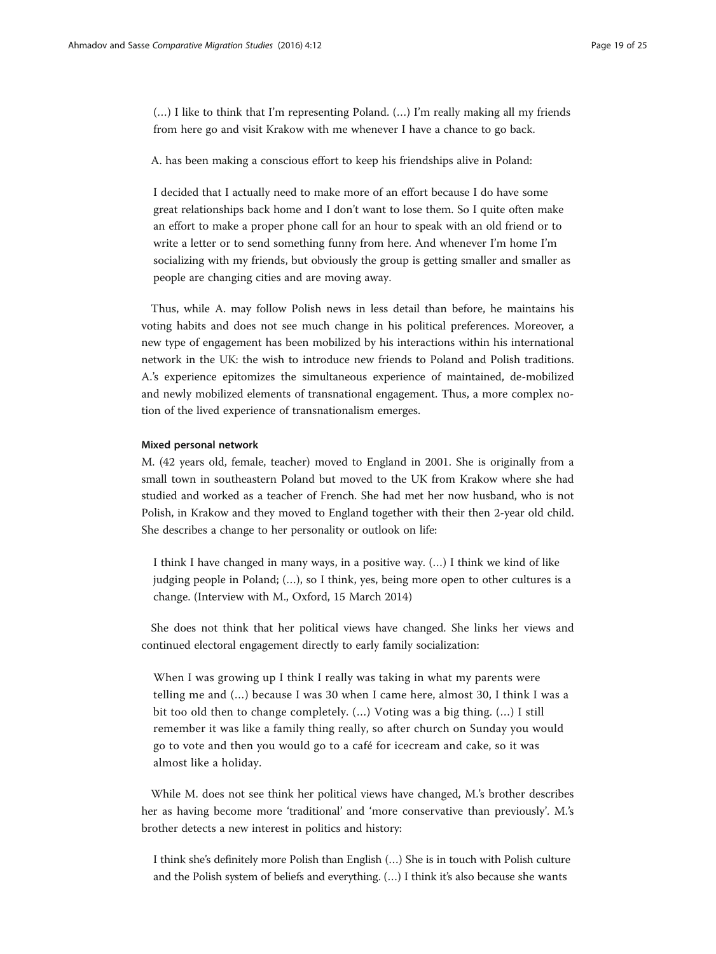(…) I like to think that I'm representing Poland. (…) I'm really making all my friends from here go and visit Krakow with me whenever I have a chance to go back.

A. has been making a conscious effort to keep his friendships alive in Poland:

I decided that I actually need to make more of an effort because I do have some great relationships back home and I don't want to lose them. So I quite often make an effort to make a proper phone call for an hour to speak with an old friend or to write a letter or to send something funny from here. And whenever I'm home I'm socializing with my friends, but obviously the group is getting smaller and smaller as people are changing cities and are moving away.

Thus, while A. may follow Polish news in less detail than before, he maintains his voting habits and does not see much change in his political preferences. Moreover, a new type of engagement has been mobilized by his interactions within his international network in the UK: the wish to introduce new friends to Poland and Polish traditions. A.'s experience epitomizes the simultaneous experience of maintained, de-mobilized and newly mobilized elements of transnational engagement. Thus, a more complex notion of the lived experience of transnationalism emerges.

#### Mixed personal network

M. (42 years old, female, teacher) moved to England in 2001. She is originally from a small town in southeastern Poland but moved to the UK from Krakow where she had studied and worked as a teacher of French. She had met her now husband, who is not Polish, in Krakow and they moved to England together with their then 2-year old child. She describes a change to her personality or outlook on life:

I think I have changed in many ways, in a positive way. (…) I think we kind of like judging people in Poland; (…), so I think, yes, being more open to other cultures is a change. (Interview with M., Oxford, 15 March 2014)

She does not think that her political views have changed. She links her views and continued electoral engagement directly to early family socialization:

When I was growing up I think I really was taking in what my parents were telling me and (…) because I was 30 when I came here, almost 30, I think I was a bit too old then to change completely. (…) Voting was a big thing. (…) I still remember it was like a family thing really, so after church on Sunday you would go to vote and then you would go to a café for icecream and cake, so it was almost like a holiday.

While M. does not see think her political views have changed, M.'s brother describes her as having become more 'traditional' and 'more conservative than previously'. M.'s brother detects a new interest in politics and history:

I think she's definitely more Polish than English (…) She is in touch with Polish culture and the Polish system of beliefs and everything. (…) I think it's also because she wants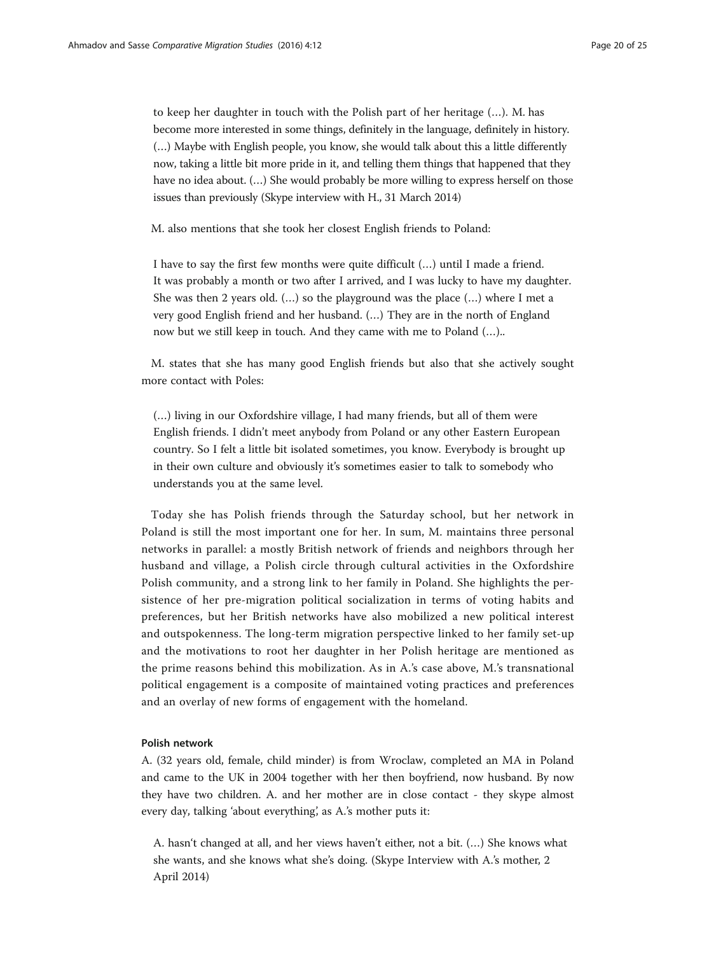to keep her daughter in touch with the Polish part of her heritage (…). M. has become more interested in some things, definitely in the language, definitely in history. (…) Maybe with English people, you know, she would talk about this a little differently now, taking a little bit more pride in it, and telling them things that happened that they have no idea about. (…) She would probably be more willing to express herself on those issues than previously (Skype interview with H., 31 March 2014)

M. also mentions that she took her closest English friends to Poland:

I have to say the first few months were quite difficult (…) until I made a friend. It was probably a month or two after I arrived, and I was lucky to have my daughter. She was then 2 years old. (…) so the playground was the place (…) where I met a very good English friend and her husband. (…) They are in the north of England now but we still keep in touch. And they came with me to Poland (…)..

M. states that she has many good English friends but also that she actively sought more contact with Poles:

(…) living in our Oxfordshire village, I had many friends, but all of them were English friends. I didn't meet anybody from Poland or any other Eastern European country. So I felt a little bit isolated sometimes, you know. Everybody is brought up in their own culture and obviously it's sometimes easier to talk to somebody who understands you at the same level.

Today she has Polish friends through the Saturday school, but her network in Poland is still the most important one for her. In sum, M. maintains three personal networks in parallel: a mostly British network of friends and neighbors through her husband and village, a Polish circle through cultural activities in the Oxfordshire Polish community, and a strong link to her family in Poland. She highlights the persistence of her pre-migration political socialization in terms of voting habits and preferences, but her British networks have also mobilized a new political interest and outspokenness. The long-term migration perspective linked to her family set-up and the motivations to root her daughter in her Polish heritage are mentioned as the prime reasons behind this mobilization. As in A.'s case above, M.'s transnational political engagement is a composite of maintained voting practices and preferences and an overlay of new forms of engagement with the homeland.

## Polish network

A. (32 years old, female, child minder) is from Wroclaw, completed an MA in Poland and came to the UK in 2004 together with her then boyfriend, now husband. By now they have two children. A. and her mother are in close contact - they skype almost every day, talking 'about everything', as A.'s mother puts it:

A. hasn't changed at all, and her views haven't either, not a bit. (…) She knows what she wants, and she knows what she's doing. (Skype Interview with A.'s mother, 2 April 2014)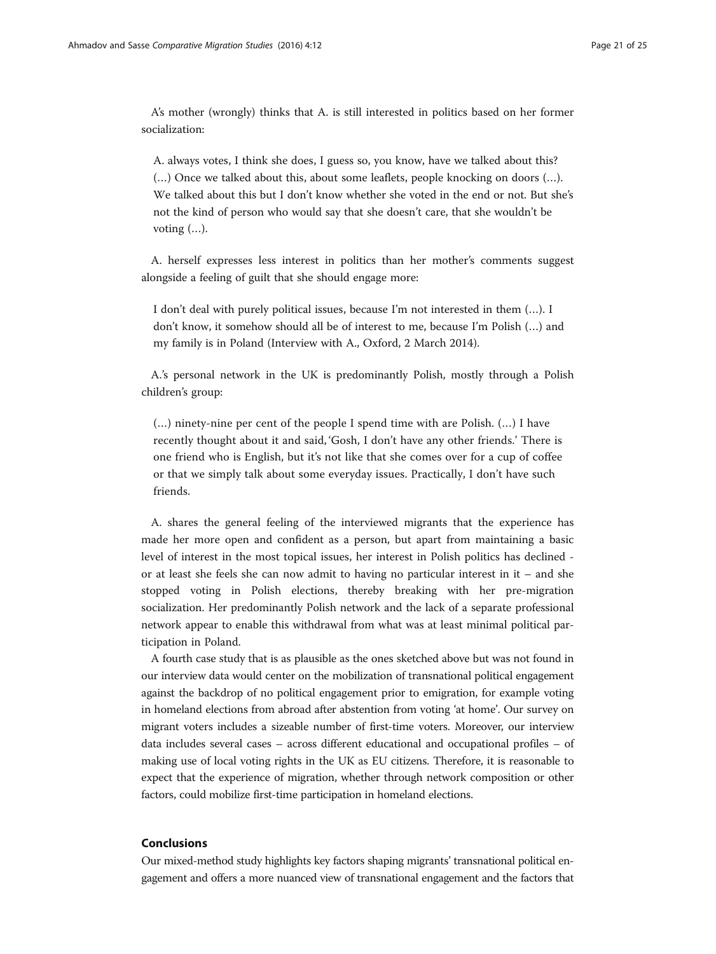A's mother (wrongly) thinks that A. is still interested in politics based on her former socialization:

A. always votes, I think she does, I guess so, you know, have we talked about this? (…) Once we talked about this, about some leaflets, people knocking on doors (…). We talked about this but I don't know whether she voted in the end or not. But she's not the kind of person who would say that she doesn't care, that she wouldn't be voting (…).

A. herself expresses less interest in politics than her mother's comments suggest alongside a feeling of guilt that she should engage more:

I don't deal with purely political issues, because I'm not interested in them (…). I don't know, it somehow should all be of interest to me, because I'm Polish (…) and my family is in Poland (Interview with A., Oxford, 2 March 2014).

A.'s personal network in the UK is predominantly Polish, mostly through a Polish children's group:

(…) ninety-nine per cent of the people I spend time with are Polish. (…) I have recently thought about it and said, 'Gosh, I don't have any other friends.' There is one friend who is English, but it's not like that she comes over for a cup of coffee or that we simply talk about some everyday issues. Practically, I don't have such friends.

A. shares the general feeling of the interviewed migrants that the experience has made her more open and confident as a person, but apart from maintaining a basic level of interest in the most topical issues, her interest in Polish politics has declined or at least she feels she can now admit to having no particular interest in it – and she stopped voting in Polish elections, thereby breaking with her pre-migration socialization. Her predominantly Polish network and the lack of a separate professional network appear to enable this withdrawal from what was at least minimal political participation in Poland.

A fourth case study that is as plausible as the ones sketched above but was not found in our interview data would center on the mobilization of transnational political engagement against the backdrop of no political engagement prior to emigration, for example voting in homeland elections from abroad after abstention from voting 'at home'. Our survey on migrant voters includes a sizeable number of first-time voters. Moreover, our interview data includes several cases – across different educational and occupational profiles – of making use of local voting rights in the UK as EU citizens. Therefore, it is reasonable to expect that the experience of migration, whether through network composition or other factors, could mobilize first-time participation in homeland elections.

## Conclusions

Our mixed-method study highlights key factors shaping migrants' transnational political engagement and offers a more nuanced view of transnational engagement and the factors that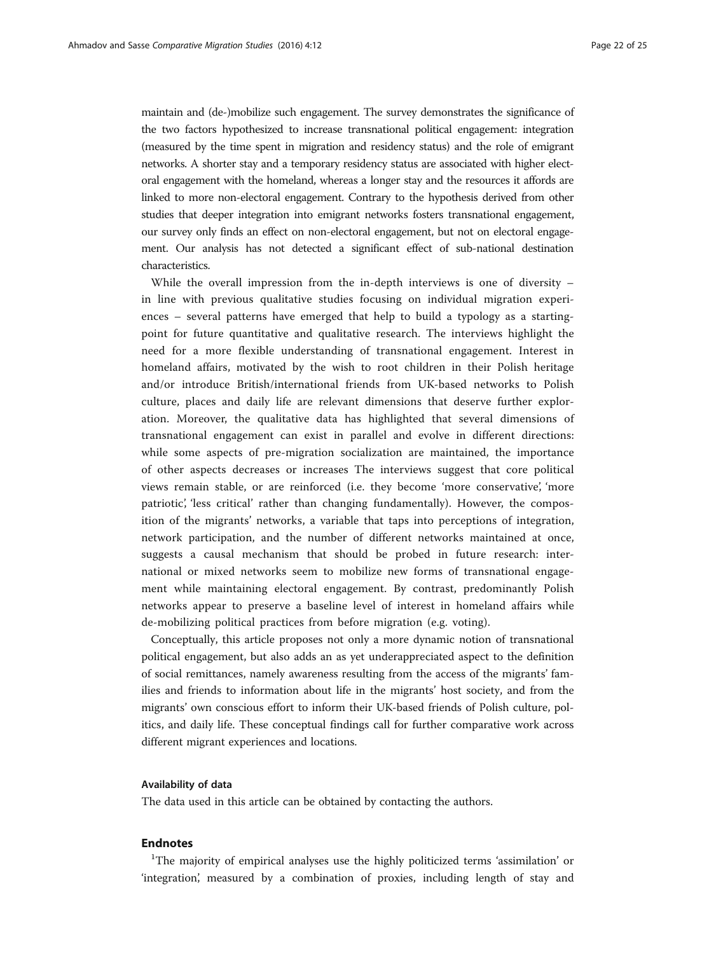maintain and (de-)mobilize such engagement. The survey demonstrates the significance of the two factors hypothesized to increase transnational political engagement: integration (measured by the time spent in migration and residency status) and the role of emigrant networks. A shorter stay and a temporary residency status are associated with higher electoral engagement with the homeland, whereas a longer stay and the resources it affords are linked to more non-electoral engagement. Contrary to the hypothesis derived from other studies that deeper integration into emigrant networks fosters transnational engagement, our survey only finds an effect on non-electoral engagement, but not on electoral engagement. Our analysis has not detected a significant effect of sub-national destination characteristics.

While the overall impression from the in-depth interviews is one of diversity – in line with previous qualitative studies focusing on individual migration experiences – several patterns have emerged that help to build a typology as a startingpoint for future quantitative and qualitative research. The interviews highlight the need for a more flexible understanding of transnational engagement. Interest in homeland affairs, motivated by the wish to root children in their Polish heritage and/or introduce British/international friends from UK-based networks to Polish culture, places and daily life are relevant dimensions that deserve further exploration. Moreover, the qualitative data has highlighted that several dimensions of transnational engagement can exist in parallel and evolve in different directions: while some aspects of pre-migration socialization are maintained, the importance of other aspects decreases or increases The interviews suggest that core political views remain stable, or are reinforced (i.e. they become 'more conservative', 'more patriotic', 'less critical' rather than changing fundamentally). However, the composition of the migrants' networks, a variable that taps into perceptions of integration, network participation, and the number of different networks maintained at once, suggests a causal mechanism that should be probed in future research: international or mixed networks seem to mobilize new forms of transnational engagement while maintaining electoral engagement. By contrast, predominantly Polish networks appear to preserve a baseline level of interest in homeland affairs while de-mobilizing political practices from before migration (e.g. voting).

Conceptually, this article proposes not only a more dynamic notion of transnational political engagement, but also adds an as yet underappreciated aspect to the definition of social remittances, namely awareness resulting from the access of the migrants' families and friends to information about life in the migrants' host society, and from the migrants' own conscious effort to inform their UK-based friends of Polish culture, politics, and daily life. These conceptual findings call for further comparative work across different migrant experiences and locations.

#### Availability of data

The data used in this article can be obtained by contacting the authors.

### Endnotes

<sup>1</sup>The majority of empirical analyses use the highly politicized terms 'assimilation' or 'integration', measured by a combination of proxies, including length of stay and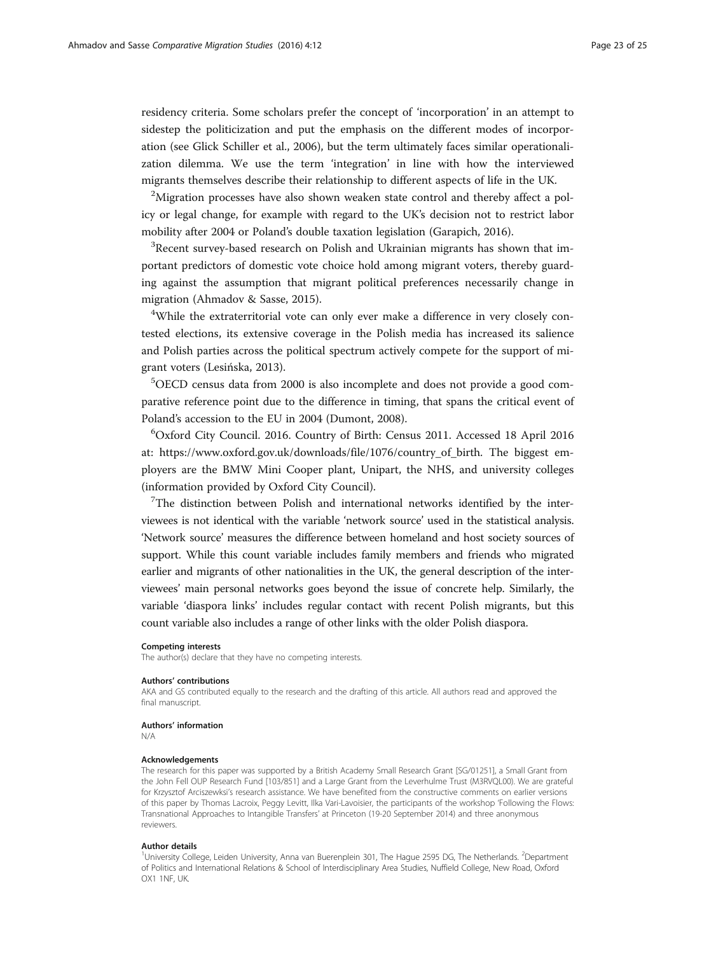residency criteria. Some scholars prefer the concept of 'incorporation' in an attempt to sidestep the politicization and put the emphasis on the different modes of incorporation (see Glick Schiller et al., [2006\)](#page-23-0), but the term ultimately faces similar operationalization dilemma. We use the term 'integration' in line with how the interviewed migrants themselves describe their relationship to different aspects of life in the UK.

 $^{2}$ Migration processes have also shown weaken state control and thereby affect a policy or legal change, for example with regard to the UK's decision not to restrict labor mobility after 2004 or Poland's double taxation legislation (Garapich, [2016](#page-23-0)).

 $3$ Recent survey-based research on Polish and Ukrainian migrants has shown that important predictors of domestic vote choice hold among migrant voters, thereby guarding against the assumption that migrant political preferences necessarily change in migration (Ahmadov & Sasse, [2015](#page-23-0)).

<sup>4</sup>While the extraterritorial vote can only ever make a difference in very closely contested elections, its extensive coverage in the Polish media has increased its salience and Polish parties across the political spectrum actively compete for the support of migrant voters (Lesińska, [2013](#page-24-0)).

5 OECD census data from 2000 is also incomplete and does not provide a good comparative reference point due to the difference in timing, that spans the critical event of Poland's accession to the EU in 2004 (Dumont, [2008\)](#page-23-0).

6 Oxford City Council. 2016. Country of Birth: Census 2011. Accessed 18 April 2016 at: [https://www.oxford.gov.uk/downloads/file/1076/country\\_of\\_birth.](https://www.oxford.gov.uk/downloads/file/1076/country_of_birth) The biggest employers are the BMW Mini Cooper plant, Unipart, the NHS, and university colleges (information provided by Oxford City Council).

 $7$ The distinction between Polish and international networks identified by the interviewees is not identical with the variable 'network source' used in the statistical analysis. 'Network source' measures the difference between homeland and host society sources of support. While this count variable includes family members and friends who migrated earlier and migrants of other nationalities in the UK, the general description of the interviewees' main personal networks goes beyond the issue of concrete help. Similarly, the variable 'diaspora links' includes regular contact with recent Polish migrants, but this count variable also includes a range of other links with the older Polish diaspora.

#### Competing interests

The author(s) declare that they have no competing interests.

#### Authors' contributions

AKA and GS contributed equally to the research and the drafting of this article. All authors read and approved the final manuscript.

#### Authors' information

N/A

#### Acknowledgements

The research for this paper was supported by a British Academy Small Research Grant [SG/01251], a Small Grant from the John Fell OUP Research Fund [103/851] and a Large Grant from the Leverhulme Trust (M3RVQL00). We are grateful for Krzysztof Arciszewksi's research assistance. We have benefited from the constructive comments on earlier versions of this paper by Thomas Lacroix, Peggy Levitt, Ilka Vari-Lavoisier, the participants of the workshop 'Following the Flows: Transnational Approaches to Intangible Transfers' at Princeton (19-20 September 2014) and three anonymous reviewers.

#### Author details

<sup>1</sup>University College, Leiden University, Anna van Buerenplein 301, The Hague 2595 DG, The Netherlands. <sup>2</sup>Department of Politics and International Relations & School of Interdisciplinary Area Studies, Nuffield College, New Road, Oxford OX1 1NF, UK.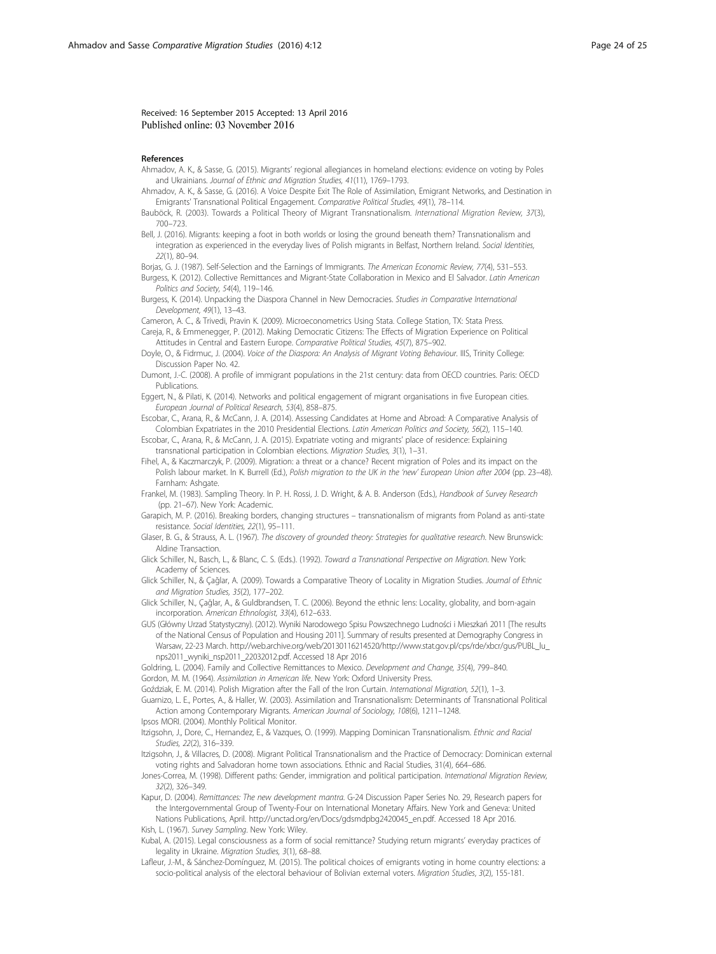<span id="page-23-0"></span>Received: 16 September 2015 Accepted: 13 April 2016 Published online: 03 November 2016

#### References

- Ahmadov, A. K., & Sasse, G. (2015). Migrants' regional allegiances in homeland elections: evidence on voting by Poles and Ukrainians. Journal of Ethnic and Migration Studies, 41(11), 1769–1793.
- Ahmadov, A. K., & Sasse, G. (2016). A Voice Despite Exit The Role of Assimilation, Emigrant Networks, and Destination in Emigrants' Transnational Political Engagement. Comparative Political Studies, 49(1), 78–114.
- Bauböck, R. (2003). Towards a Political Theory of Migrant Transnationalism. International Migration Review, 37(3), 700–723.
- Bell, J. (2016). Migrants: keeping a foot in both worlds or losing the ground beneath them? Transnationalism and integration as experienced in the everyday lives of Polish migrants in Belfast, Northern Ireland. Social Identities, 22(1), 80–94.
- Borjas, G. J. (1987). Self-Selection and the Earnings of Immigrants. The American Economic Review, 77(4), 531–553.
- Burgess, K. (2012). Collective Remittances and Migrant-State Collaboration in Mexico and El Salvador. Latin American Politics and Society, 54(4), 119-146.
- Burgess, K. (2014). Unpacking the Diaspora Channel in New Democracies. Studies in Comparative International Development, 49(1), 13–43.
- Cameron, A. C., & Trivedi, Pravin K. (2009). Microeconometrics Using Stata. College Station, TX: Stata Press. Careja, R., & Emmenegger, P. (2012). Making Democratic Citizens: The Effects of Migration Experience on Political
- Attitudes in Central and Eastern Europe. Comparative Political Studies, 45(7), 875–902.
- Doyle, O., & Fidrmuc, J. (2004). Voice of the Diaspora: An Analysis of Migrant Voting Behaviour. IIIS, Trinity College: Discussion Paper No. 42.
- Dumont, J.-C. (2008). A profile of immigrant populations in the 21st century: data from OECD countries. Paris: OECD Publications.
- Eggert, N., & Pilati, K. (2014). Networks and political engagement of migrant organisations in five European cities. European Journal of Political Research, 53(4), 858–875.
- Escobar, C., Arana, R., & McCann, J. A. (2014). Assessing Candidates at Home and Abroad: A Comparative Analysis of Colombian Expatriates in the 2010 Presidential Elections. Latin American Politics and Society, 56(2), 115–140.
- Escobar, C., Arana, R., & McCann, J. A. (2015). Expatriate voting and migrants' place of residence: Explaining transnational participation in Colombian elections. Migration Studies, 3(1), 1–31.
- Fihel, A., & Kaczmarczyk, P. (2009). Migration: a threat or a chance? Recent migration of Poles and its impact on the Polish labour market. In K. Burrell (Ed.), Polish migration to the UK in the 'new' European Union after 2004 (pp. 23-48). Farnham: Ashgate.
- Frankel, M. (1983). Sampling Theory. In P. H. Rossi, J. D. Wright, & A. B. Anderson (Eds.), Handbook of Survey Research (pp. 21–67). New York: Academic.
- Garapich, M. P. (2016). Breaking borders, changing structures transnationalism of migrants from Poland as anti-state resistance. Social Identities, 22(1), 95–111.
- Glaser, B. G., & Strauss, A. L. (1967). The discovery of grounded theory: Strategies for qualitative research. New Brunswick: Aldine Transaction.
- Glick Schiller, N., Basch, L., & Blanc, C. S. (Eds.). (1992). Toward a Transnational Perspective on Migration. New York: Academy of Sciences.
- Glick Schiller, N., & Çağlar, A. (2009). Towards a Comparative Theory of Locality in Migration Studies. Journal of Ethnic and Migration Studies, 35(2), 177–202.
- Glick Schiller, N., Çağlar, A., & Guldbrandsen, T. C. (2006). Beyond the ethnic lens: Locality, globality, and born-again incorporation. American Ethnologist, 33(4), 612–633.
- GUS (Główny Urzad Statystyczny). (2012). Wyniki Narodowego Spisu Powszechnego Ludności i Mieszkań 2011 [The results of the National Census of Population and Housing 2011]. Summary of results presented at Demography Congress in Warsaw, 22-23 March. [http://web.archive.org/web/20130116214520/http://www.stat.gov.pl/cps/rde/xbcr/gus/PUBL\\_lu\\_](http://web.archive.org/web/20130116214520/http://www.stat.gov.pl/cps/rde/xbcr/gus/PUBL_lu_nps2011_wyniki_nsp2011_22032012.pdf) [nps2011\\_wyniki\\_nsp2011\\_22032012.pdf](http://web.archive.org/web/20130116214520/http://www.stat.gov.pl/cps/rde/xbcr/gus/PUBL_lu_nps2011_wyniki_nsp2011_22032012.pdf). Accessed 18 Apr 2016
- Goldring, L. (2004). Family and Collective Remittances to Mexico. Development and Change, 35(4), 799–840.
- Gordon, M. M. (1964). Assimilation in American life. New York: Oxford University Press.
- Goździak, E. M. (2014). Polish Migration after the Fall of the Iron Curtain. International Migration, 52(1), 1–3.
- Guarnizo, L. E., Portes, A., & Haller, W. (2003). Assimilation and Transnationalism: Determinants of Transnational Political Action among Contemporary Migrants. American Journal of Sociology, 108(6), 1211–1248.
- Ipsos MORI. (2004). Monthly Political Monitor.
- Itzigsohn, J., Dore, C., Hernandez, E., & Vazques, O. (1999). Mapping Dominican Transnationalism. Ethnic and Racial Studies, 22(2), 316–339.
- Itzigsohn, J., & Villacres, D. (2008). Migrant Political Transnationalism and the Practice of Democracy: Dominican external voting rights and Salvadoran home town associations. Ethnic and Racial Studies, 31(4), 664–686.
- Jones-Correa, M. (1998). Different paths: Gender, immigration and political participation. International Migration Review, 32(2), 326–349.
- Kapur, D. (2004). Remittances: The new development mantra. G-24 Discussion Paper Series No. 29, Research papers for the Intergovernmental Group of Twenty-Four on International Monetary Affairs. New York and Geneva: United Nations Publications, April. [http://unctad.org/en/Docs/gdsmdpbg2420045\\_en.pdf.](http://unctad.org/en/Docs/gdsmdpbg2420045_en.pdf) Accessed 18 Apr 2016.
- Kish, L. (1967). Survey Sampling. New York: Wiley.
- Kubal, A. (2015). Legal consciousness as a form of social remittance? Studying return migrants' everyday practices of legality in Ukraine. Migration Studies, 3(1), 68–88.
- Lafleur, J.-M., & Sánchez-Domínguez, M. (2015). The political choices of emigrants voting in home country elections: a socio-political analysis of the electoral behaviour of Bolivian external voters. Migration Studies, 3(2), 155-181.